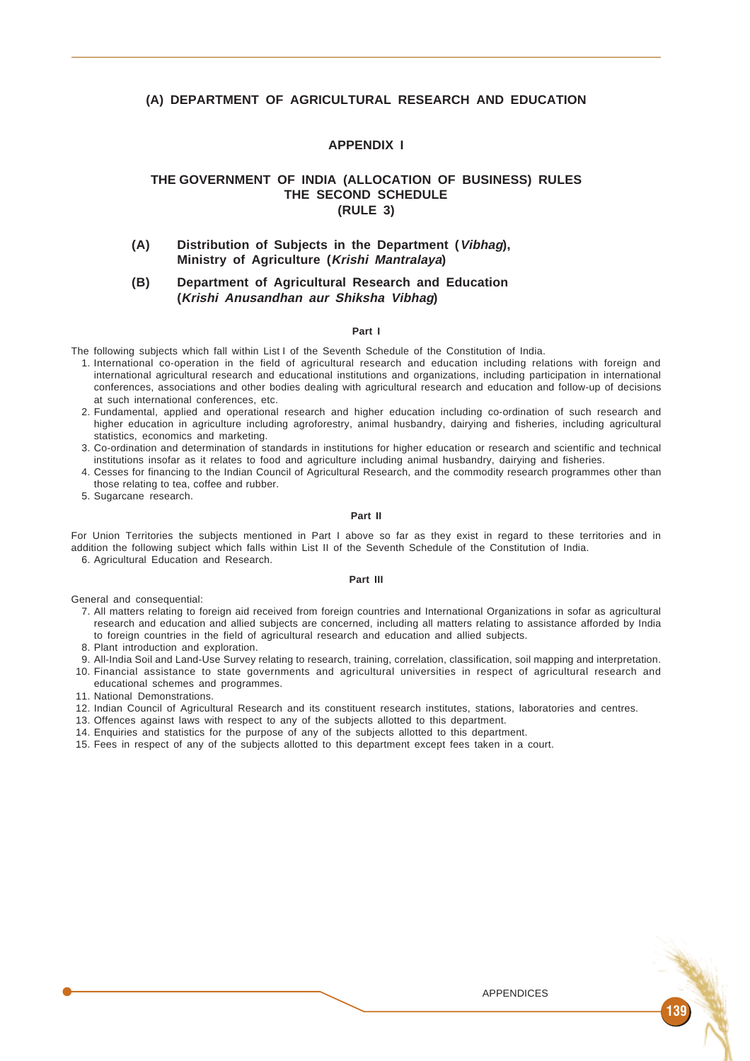## **(A) DEPARTMENT OF AGRICULTURAL RESEARCH AND EDUCATION**

# **APPENDIX I**

# **THE GOVERNMENT OF INDIA (ALLOCATION OF BUSINESS) RULES THE SECOND SCHEDULE (RULE 3)**

**(A) Distribution of Subjects in the Department (Vibhag), Ministry of Agriculture (Krishi Mantralaya)**

# **(B) Department of Agricultural Research and Education (Krishi Anusandhan aur Shiksha Vibhag)**

#### **Part I**

The following subjects which fall within List I of the Seventh Schedule of the Constitution of India.

- 1. International co-operation in the field of agricultural research and education including relations with foreign and international agricultural research and educational institutions and organizations, including participation in international conferences, associations and other bodies dealing with agricultural research and education and follow-up of decisions at such international conferences, etc.
- 2. Fundamental, applied and operational research and higher education including co-ordination of such research and higher education in agriculture including agroforestry, animal husbandry, dairying and fisheries, including agricultural statistics, economics and marketing.
- 3. Co-ordination and determination of standards in institutions for higher education or research and scientific and technical institutions insofar as it relates to food and agriculture including animal husbandry, dairying and fisheries.
- 4. Cesses for financing to the Indian Council of Agricultural Research, and the commodity research programmes other than those relating to tea, coffee and rubber.
- 5. Sugarcane research.

#### **Part II**

For Union Territories the subjects mentioned in Part I above so far as they exist in regard to these territories and in addition the following subject which falls within List II of the Seventh Schedule of the Constitution of India. 6. Agricultural Education and Research.

## **Part III**

General and consequential:

- 7. All matters relating to foreign aid received from foreign countries and International Organizations in sofar as agricultural research and education and allied subjects are concerned, including all matters relating to assistance afforded by India to foreign countries in the field of agricultural research and education and allied subjects.
- 8. Plant introduction and exploration.
- 9. All-India Soil and Land-Use Survey relating to research, training, correlation, classification, soil mapping and interpretation. 10. Financial assistance to state governments and agricultural universities in respect of agricultural research and
- educational schemes and programmes.
- 11. National Demonstrations.
- 12. Indian Council of Agricultural Research and its constituent research institutes, stations, laboratories and centres.
- 13. Offences against laws with respect to any of the subjects allotted to this department.
- 14. Enquiries and statistics for the purpose of any of the subjects allotted to this department.
- 15. Fees in respect of any of the subjects allotted to this department except fees taken in a court.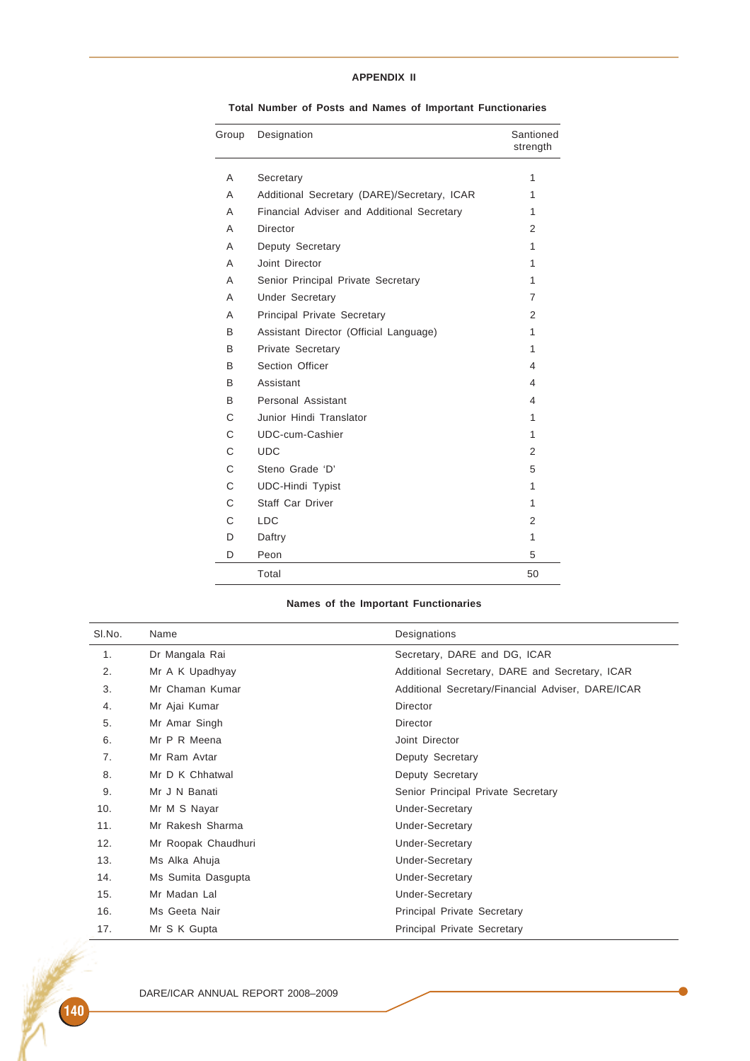# **APPENDIX II**

| Group | Designation                                 | Santioned<br>strength |
|-------|---------------------------------------------|-----------------------|
| A     | Secretary                                   | 1                     |
| A     | Additional Secretary (DARE)/Secretary, ICAR | 1                     |
| A     | Financial Adviser and Additional Secretary  | 1                     |
| A     | <b>Director</b>                             | 2                     |
| A     | Deputy Secretary                            | 1                     |
| A     | Joint Director                              | 1                     |
| A     | Senior Principal Private Secretary          | 1                     |
| A     | <b>Under Secretary</b>                      | 7                     |
| A     | Principal Private Secretary                 | 2                     |
| B     | Assistant Director (Official Language)      | 1                     |
| B     | <b>Private Secretary</b>                    | 1                     |
| B     | Section Officer                             | 4                     |
| B     | Assistant                                   | 4                     |
| B     | Personal Assistant                          | 4                     |
| C     | Junior Hindi Translator                     | 1                     |
| C     | UDC-cum-Cashier                             | 1                     |
| C     | <b>UDC</b>                                  | 2                     |
| C     | Steno Grade 'D'                             | 5                     |
| C     | <b>UDC-Hindi Typist</b>                     | 1                     |
| C     | <b>Staff Car Driver</b>                     | 1                     |
| C     | <b>LDC</b>                                  | 2                     |
| D     | Daftry                                      | 1                     |
| D     | Peon                                        | 5                     |
|       | Total                                       | 50                    |
|       |                                             |                       |

**Total Number of Posts and Names of Important Functionaries**

# **Names of the Important Functionaries**

| SI.No. | Name                | Designations                                      |
|--------|---------------------|---------------------------------------------------|
| 1.     | Dr Mangala Rai      | Secretary, DARE and DG, ICAR                      |
| 2.     | Mr A K Upadhyay     | Additional Secretary, DARE and Secretary, ICAR    |
| 3.     | Mr Chaman Kumar     | Additional Secretary/Financial Adviser, DARE/ICAR |
| 4.     | Mr Ajai Kumar       | Director                                          |
| 5.     | Mr Amar Singh       | <b>Director</b>                                   |
| 6.     | Mr P R Meena        | Joint Director                                    |
| 7.     | Mr Ram Avtar        | Deputy Secretary                                  |
| 8.     | Mr D K Chhatwal     | Deputy Secretary                                  |
| 9.     | Mr J N Banati       | Senior Principal Private Secretary                |
| 10.    | Mr M S Nayar        | <b>Under-Secretary</b>                            |
| 11.    | Mr Rakesh Sharma    | <b>Under-Secretary</b>                            |
| 12.    | Mr Roopak Chaudhuri | <b>Under-Secretary</b>                            |
| 13.    | Ms Alka Ahuja       | <b>Under-Secretary</b>                            |
| 14.    | Ms Sumita Dasgupta  | <b>Under-Secretary</b>                            |
| 15.    | Mr Madan Lal        | <b>Under-Secretary</b>                            |
| 16.    | Ms Geeta Nair       | Principal Private Secretary                       |
| 17.    | Mr S K Gupta        | <b>Principal Private Secretary</b>                |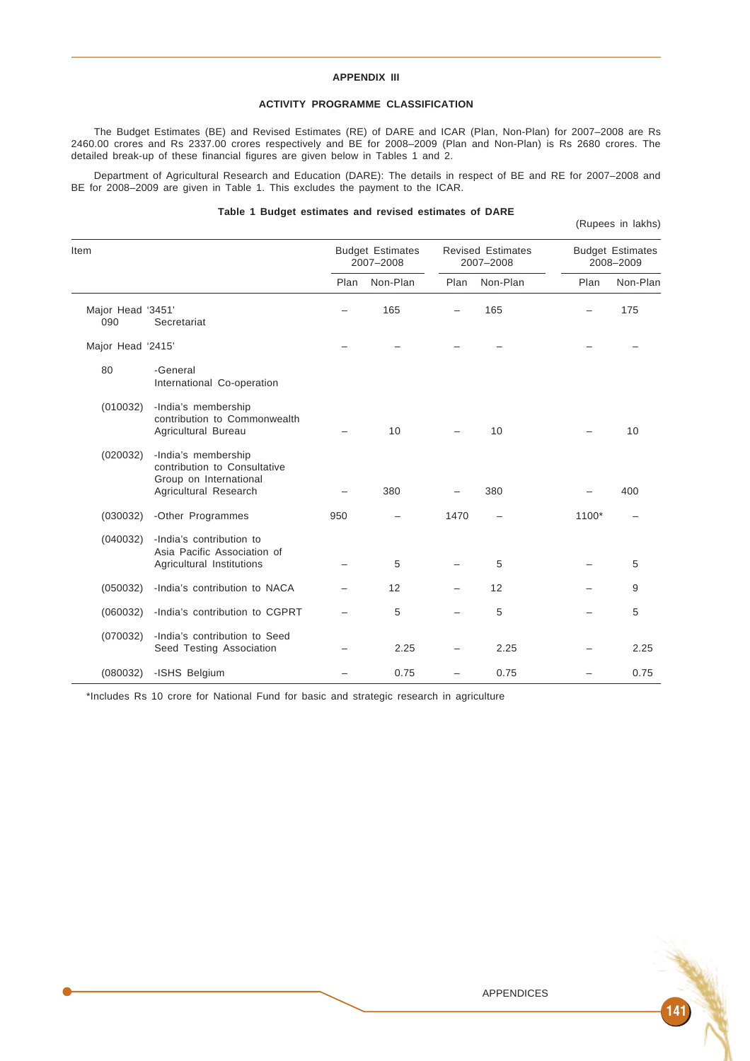## **APPENDIX III**

# **ACTIVITY PROGRAMME CLASSIFICATION**

The Budget Estimates (BE) and Revised Estimates (RE) of DARE and ICAR (Plan, Non-Plan) for 2007–2008 are Rs 2460.00 crores and Rs 2337.00 crores respectively and BE for 2008–2009 (Plan and Non-Plan) is Rs 2680 crores. The detailed break-up of these financial figures are given below in Tables 1 and 2.

Department of Agricultural Research and Education (DARE): The details in respect of BE and RE for 2007–2008 and BE for 2008–2009 are given in Table 1. This excludes the payment to the ICAR.

## **Table 1 Budget estimates and revised estimates of DARE**

(Rupees in lakhs)

| Item                     |                                                                                                        |      | <b>Budget Estimates</b><br>2007-2008 |                          | <b>Revised Estimates</b><br>2007-2008 | <b>Budget Estimates</b><br>2008-2009 |          |  |
|--------------------------|--------------------------------------------------------------------------------------------------------|------|--------------------------------------|--------------------------|---------------------------------------|--------------------------------------|----------|--|
|                          |                                                                                                        | Plan | Non-Plan                             | Plan                     | Non-Plan                              | Plan                                 | Non-Plan |  |
| Major Head '3451'<br>090 | Secretariat                                                                                            |      | 165                                  |                          | 165                                   |                                      | 175      |  |
| Major Head '2415'        |                                                                                                        |      |                                      |                          |                                       |                                      |          |  |
| 80                       | -General<br>International Co-operation                                                                 |      |                                      |                          |                                       |                                      |          |  |
| (010032)                 | -India's membership<br>contribution to Commonwealth<br>Agricultural Bureau                             |      | 10                                   |                          | 10                                    |                                      | 10       |  |
| (020032)                 | -India's membership<br>contribution to Consultative<br>Group on International<br>Agricultural Research |      | 380                                  |                          | 380                                   |                                      | 400      |  |
| (030032)                 | -Other Programmes                                                                                      | 950  |                                      | 1470                     |                                       | 1100*                                |          |  |
| (040032)                 | -India's contribution to<br>Asia Pacific Association of<br>Agricultural Institutions                   |      | 5                                    |                          | 5                                     |                                      | 5        |  |
| (050032)                 | -India's contribution to NACA                                                                          |      | 12                                   |                          | 12                                    |                                      | 9        |  |
| (060032)                 | -India's contribution to CGPRT                                                                         |      | 5                                    |                          | 5                                     |                                      | 5        |  |
| (070032)                 | -India's contribution to Seed<br>Seed Testing Association                                              |      | 2.25                                 |                          | 2.25                                  |                                      | 2.25     |  |
| (080032)                 | -ISHS Belgium                                                                                          |      | 0.75                                 | $\overline{\phantom{0}}$ | 0.75                                  | -                                    | 0.75     |  |

\*Includes Rs 10 crore for National Fund for basic and strategic research in agriculture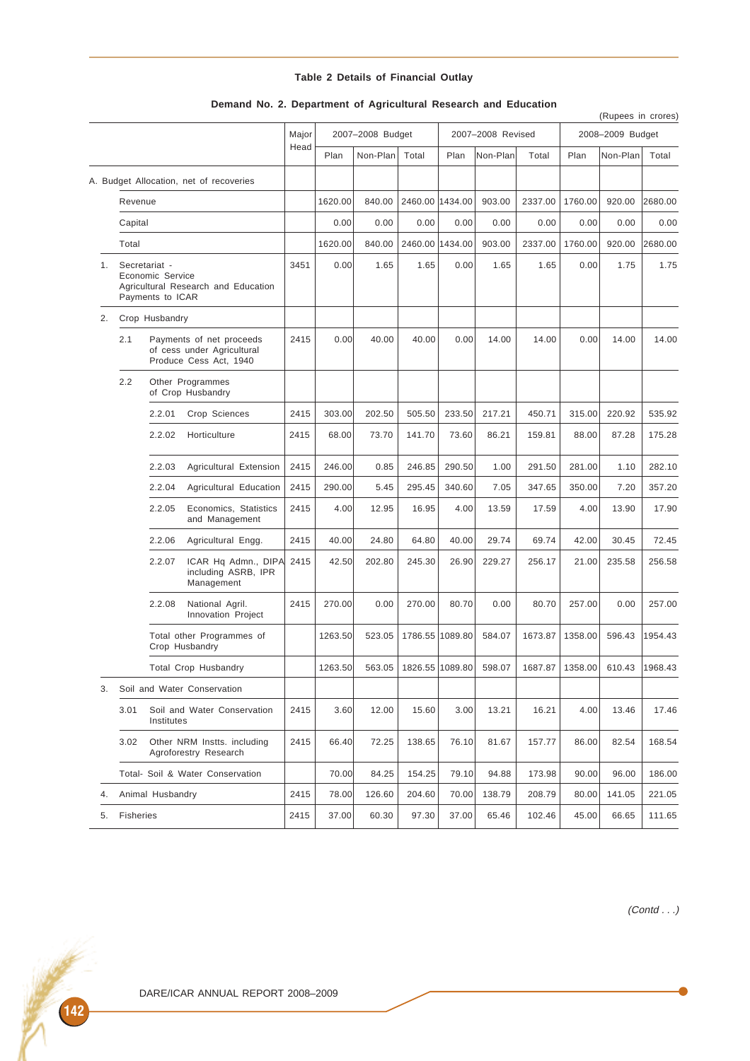|  |  |  |  | Table 2 Details of Financial Outlay |  |
|--|--|--|--|-------------------------------------|--|
|--|--|--|--|-------------------------------------|--|

|    |           |                                                       |                                                                                  |       |                  |          |                 |                   |          |         |                  | (Rupees in crores) |         |
|----|-----------|-------------------------------------------------------|----------------------------------------------------------------------------------|-------|------------------|----------|-----------------|-------------------|----------|---------|------------------|--------------------|---------|
|    |           |                                                       |                                                                                  | Major | 2007-2008 Budget |          |                 | 2007-2008 Revised |          |         | 2008-2009 Budget |                    |         |
|    |           |                                                       |                                                                                  | Head  | Plan             | Non-Plan | Total           | Plan              | Non-Plan | Total   | Plan             | Non-Plan           | Total   |
|    |           |                                                       | A. Budget Allocation, net of recoveries                                          |       |                  |          |                 |                   |          |         |                  |                    |         |
|    | Revenue   |                                                       |                                                                                  |       | 1620.00          | 840.00   | 2460.00 1434.00 |                   | 903.00   | 2337.00 | 1760.00          | 920.00             | 2680.00 |
|    | Capital   |                                                       |                                                                                  |       | 0.00             | 0.00     | 0.00            | 0.00              | 0.00     | 0.00    | 0.00             | 0.00               | 0.00    |
|    | Total     |                                                       |                                                                                  |       | 1620.00          | 840.00   |                 | 2460.00 1434.00   | 903.00   | 2337.00 | 1760.00          | 920.00             | 2680.00 |
|    | 1.        | Secretariat -<br>Economic Service<br>Payments to ICAR | Agricultural Research and Education                                              | 3451  | 0.00             | 1.65     | 1.65            | 0.00              | 1.65     | 1.65    | 0.00             | 1.75               | 1.75    |
| 2. |           | Crop Husbandry                                        |                                                                                  |       |                  |          |                 |                   |          |         |                  |                    |         |
|    | 2.1       |                                                       | Payments of net proceeds<br>of cess under Agricultural<br>Produce Cess Act, 1940 | 2415  | 0.00             | 40.00    | 40.00           | 0.00              | 14.00    | 14.00   | 0.00             | 14.00              | 14.00   |
|    | 2.2       |                                                       | Other Programmes<br>of Crop Husbandry                                            |       |                  |          |                 |                   |          |         |                  |                    |         |
|    |           | 2.2.01                                                | Crop Sciences                                                                    | 2415  | 303.00           | 202.50   | 505.50          | 233.50            | 217.21   | 450.71  | 315.00           | 220.92             | 535.92  |
|    |           | 2.2.02                                                | Horticulture                                                                     | 2415  | 68.00            | 73.70    | 141.70          | 73.60             | 86.21    | 159.81  | 88.00            | 87.28              | 175.28  |
|    |           | 2.2.03                                                | Agricultural Extension                                                           | 2415  | 246.00           | 0.85     | 246.85          | 290.50            | 1.00     | 291.50  | 281.00           | 1.10               | 282.10  |
|    |           | 2.2.04                                                | Agricultural Education                                                           | 2415  | 290.00           | 5.45     | 295.45          | 340.60            | 7.05     | 347.65  | 350.00           | 7.20               | 357.20  |
|    |           | 2.2.05                                                | Economics, Statistics<br>and Management                                          | 2415  | 4.00             | 12.95    | 16.95           | 4.00              | 13.59    | 17.59   | 4.00             | 13.90              | 17.90   |
|    |           | 2.2.06                                                | Agricultural Engg.                                                               | 2415  | 40.00            | 24.80    | 64.80           | 40.00             | 29.74    | 69.74   | 42.00            | 30.45              | 72.45   |
|    |           | 2.2.07                                                | ICAR Hq Admn., DIPA<br>including ASRB, IPR<br>Management                         | 2415  | 42.50            | 202.80   | 245.30          | 26.90             | 229.27   | 256.17  | 21.00            | 235.58             | 256.58  |
|    |           | 2.2.08                                                | National Agril.<br>Innovation Project                                            | 2415  | 270.00           | 0.00     | 270.00          | 80.70             | 0.00     | 80.70   | 257.00           | 0.00               | 257.00  |
|    |           |                                                       | Total other Programmes of<br>Crop Husbandry                                      |       | 1263.50          | 523.05   |                 | 1786.55 1089.80   | 584.07   | 1673.87 | 1358.00          | 596.43             | 1954.43 |
|    |           |                                                       | <b>Total Crop Husbandry</b>                                                      |       | 1263.50          | 563.05   |                 | 1826.55 1089.80   | 598.07   | 1687.87 | 1358.00          | 610.43             | 1968.43 |
| 3. |           |                                                       | Soil and Water Conservation                                                      |       |                  |          |                 |                   |          |         |                  |                    |         |
|    | 3.01      | Soil and Water Conservation<br>Institutes             |                                                                                  | 2415  | 3.60             | 12.00    | 15.60           | 3.00              | 13.21    | 16.21   | 4.00             | 13.46              | 17.46   |
|    | 3.02      | Other NRM Instts. including<br>Agroforestry Research  |                                                                                  | 2415  | 66.40            | 72.25    | 138.65          | 76.10             | 81.67    | 157.77  | 86.00            | 82.54              | 168.54  |
|    |           |                                                       | Total- Soil & Water Conservation                                                 |       | 70.00            | 84.25    | 154.25          | 79.10             | 94.88    | 173.98  | 90.00            | 96.00              | 186.00  |
| 4. |           | Animal Husbandry                                      |                                                                                  | 2415  | 78.00            | 126.60   | 204.60          | 70.00             | 138.79   | 208.79  | 80.00            | 141.05             | 221.05  |
| 5. | Fisheries |                                                       |                                                                                  | 2415  | 37.00            | 60.30    | 97.30           | 37.00             | 65.46    | 102.46  | 45.00            | 66.65              | 111.65  |

# **Demand No. 2. Department of Agricultural Research and Education**

(Contd . . .)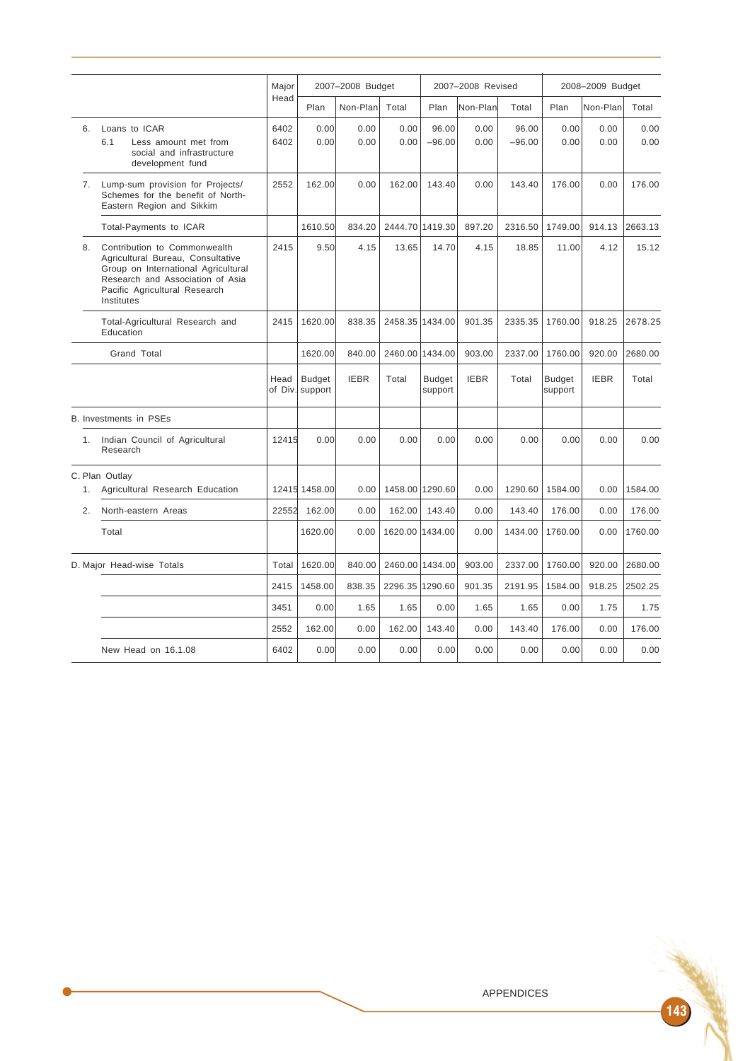|                |                                                                                                                                                                                             | Major        | 2007-2008 Budget                 |              |                 | 2007-2008 Revised |              |                   | 2008-2009 Budget  |              |              |
|----------------|---------------------------------------------------------------------------------------------------------------------------------------------------------------------------------------------|--------------|----------------------------------|--------------|-----------------|-------------------|--------------|-------------------|-------------------|--------------|--------------|
|                |                                                                                                                                                                                             | Head         | Plan                             | Non-Plan     | Total           | Plan              | Non-Plan     | Total             | Plan              | Non-Plan     | Total        |
| 6.             | Loans to ICAR<br>6.1<br>Less amount met from<br>social and infrastructure<br>development fund                                                                                               | 6402<br>6402 | 0.00<br>0.00                     | 0.00<br>0.00 | 0.00<br>0.00    | 96.00<br>$-96.00$ | 0.00<br>0.00 | 96.00<br>$-96.00$ | 0.00<br>0.00      | 0.00<br>0.00 | 0.00<br>0.00 |
| 7.             | Lump-sum provision for Projects/<br>Schemes for the benefit of North-<br>Eastern Region and Sikkim                                                                                          | 2552         | 162.00                           | 0.00         | 162.00          | 143.40            | 0.00         | 143.40            | 176.00            | 0.00         | 176.00       |
|                | Total-Payments to ICAR                                                                                                                                                                      |              | 1610.50                          | 834.20       |                 | 2444.70 1419.30   | 897.20       | 2316.50           | 1749.00           | 914.13       | 2663.13      |
| 8.             | Contribution to Commonwealth<br>Agricultural Bureau, Consultative<br>Group on International Agricultural<br>Research and Association of Asia<br>Pacific Agricultural Research<br>Institutes | 2415         | 9.50                             | 4.15         | 13.65           | 14.70             | 4.15         | 18.85             | 11.00             | 4.12         | 15.12        |
|                | Total-Agricultural Research and<br>Education                                                                                                                                                | 2415         | 1620.00                          | 838.35       |                 | 2458.35 1434.00   | 901.35       | 2335.35           | 1760.00           | 918.25       | 2678.25      |
|                | <b>Grand Total</b>                                                                                                                                                                          |              | 1620.00                          | 840.00       |                 | 2460.00 1434.00   | 903.00       | 2337.00           | 1760.00           | 920.00       | 2680.00      |
|                |                                                                                                                                                                                             | Head         | <b>Budget</b><br>of Div. support | <b>IEBR</b>  | Total           | Budget<br>support | <b>IEBR</b>  | Total             | Budget<br>support | <b>IEBR</b>  | Total        |
|                | <b>B. Investments in PSEs</b>                                                                                                                                                               |              |                                  |              |                 |                   |              |                   |                   |              |              |
| 1 <sup>1</sup> | Indian Council of Agricultural<br>Research                                                                                                                                                  | 12415        | 0.00                             | 0.00         | 0.00            | 0.00              | 0.00         | 0.00              | 0.00              | 0.00         | 0.00         |
| 1.             | C. Plan Outlay<br>Agricultural Research Education                                                                                                                                           |              | 12415 1458.00                    | 0.00         |                 | 1458.00 1290.60   | 0.00         | 1290.60           | 1584.00           | 0.00         | 1584.00      |
| 2.             | North-eastern Areas                                                                                                                                                                         | 22552        | 162.00                           | 0.00         | 162.00          | 143.40            | 0.00         | 143.40            | 176.00            | 0.00         | 176.00       |
|                | Total                                                                                                                                                                                       |              | 1620.00                          | 0.00         | 1620.00 1434.00 |                   | 0.00         | 1434.00           | 1760.00           | 0.00         | 1760.00      |
|                | D. Major Head-wise Totals                                                                                                                                                                   | Total        | 1620.00                          | 840.00       |                 | 2460.00 1434.00   | 903.00       | 2337.00           | 1760.00           | 920.00       | 2680.00      |
|                |                                                                                                                                                                                             | 2415         | 1458.00                          | 838.35       | 2296.35 1290.60 |                   | 901.35       | 2191.95           | 1584.00           | 918.25       | 2502.25      |
|                |                                                                                                                                                                                             | 3451         | 0.00                             | 1.65         | 1.65            | 0.00              | 1.65         | 1.65              | 0.00              | 1.75         | 1.75         |
|                |                                                                                                                                                                                             | 2552         | 162.00                           | 0.00         | 162.00          | 143.40            | 0.00         | 143.40            | 176.00            | 0.00         | 176.00       |
|                | New Head on 16.1.08                                                                                                                                                                         | 6402         | 0.00                             | 0.00         | 0.00            | 0.00              | 0.00         | 0.00              | 0.00              | 0.00         | 0.00         |

 $\bullet$ 

143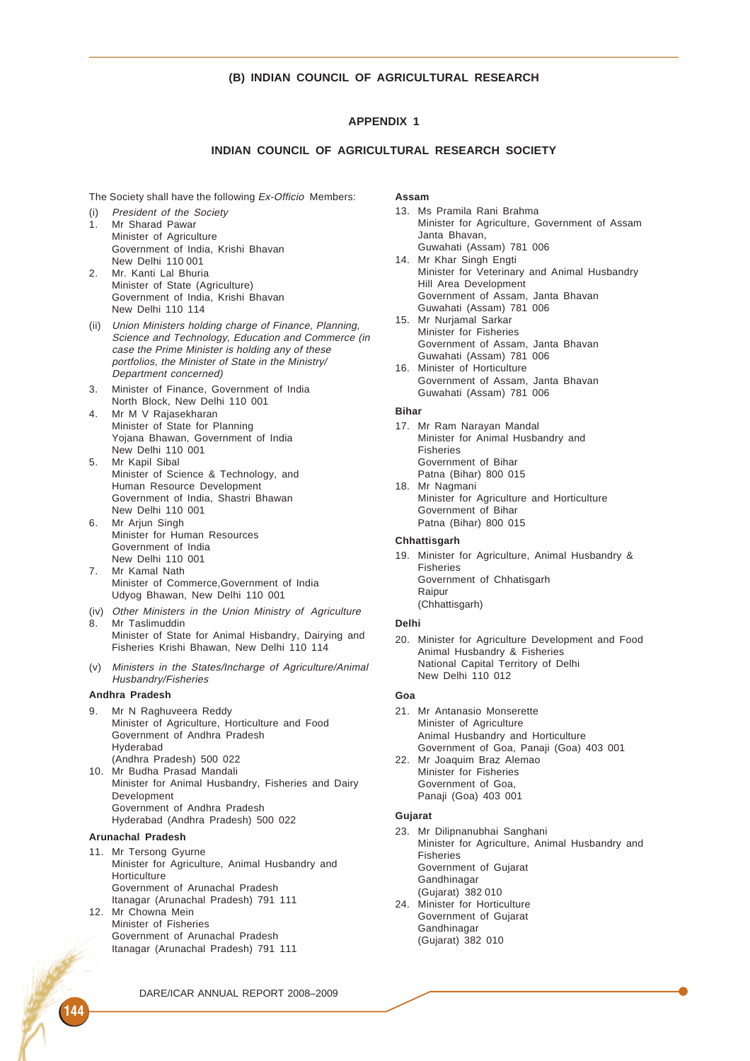## **(B) INDIAN COUNCIL OF AGRICULTURAL RESEARCH**

# **APPENDIX 1**

# **INDIAN COUNCIL OF AGRICULTURAL RESEARCH SOCIETY**

The Society shall have the following Ex-Officio Members:

- (i) President of the Society 1. Mr Sharad Pawar Minister of Agriculture Government of India, Krishi Bhavan New Delhi 110 001
- 2. Mr. Kanti Lal Bhuria Minister of State (Agriculture) Government of India, Krishi Bhavan New Delhi 110 114
- (ii) Union Ministers holding charge of Finance, Planning, Science and Technology, Education and Commerce (in case the Prime Minister is holding any of these portfolios, the Minister of State in the Ministry/ Department concerned)
- 3. Minister of Finance, Government of India North Block, New Delhi 110 001
- 4. Mr M V Rajasekharan Minister of State for Planning Yojana Bhawan, Government of India New Delhi 110 001
- 5. Mr Kapil Sibal Minister of Science & Technology, and Human Resource Development Government of India, Shastri Bhawan New Delhi 110 001
- 6. Mr Arjun Singh Minister for Human Resources Government of India New Delhi 110 001 7. Mr Kamal Nath
- Minister of Commerce,Government of India Udyog Bhawan, New Delhi 110 001
- (iv) Other Ministers in the Union Ministry of Agriculture 8. Mr Taslimuddin
- Minister of State for Animal Hisbandry, Dairying and Fisheries Krishi Bhawan, New Delhi 110 114
- (v) Ministers in the States/Incharge of Agriculture/Animal Husbandry/Fisheries

## **Andhra Pradesh**

- 9. Mr N Raghuveera Reddy Minister of Agriculture, Horticulture and Food Government of Andhra Pradesh Hyderabad (Andhra Pradesh) 500 022 10. Mr Budha Prasad Mandali
- Minister for Animal Husbandry, Fisheries and Dairy **Development** Government of Andhra Pradesh Hyderabad (Andhra Pradesh) 500 022

## **Arunachal Pradesh**

- 11. Mr Tersong Gyurne Minister for Agriculture, Animal Husbandry and **Horticulture** Government of Arunachal Pradesh Itanagar (Arunachal Pradesh) 791 111
- 12. Mr Chowna Mein Minister of Fisheries Government of Arunachal Pradesh Itanagar (Arunachal Pradesh) 791 111

**Assam**

- 13. Ms Pramila Rani Brahma Minister for Agriculture, Government of Assam Janta Bhavan, Guwahati (Assam) 781 006
- 14. Mr Khar Singh Engti Minister for Veterinary and Animal Husbandry Hill Area Development Government of Assam, Janta Bhavan Guwahati (Assam) 781 006
- 15. Mr Nurjamal Sarkar Minister for Fisheries Government of Assam, Janta Bhavan Guwahati (Assam) 781 006
- 16. Minister of Horticulture Government of Assam, Janta Bhavan Guwahati (Assam) 781 006

## **Bihar**

- 17. Mr Ram Narayan Mandal Minister for Animal Husbandry and Fisheries Government of Bihar Patna (Bihar) 800 015
- 18. Mr Nagmani Minister for Agriculture and Horticulture Government of Bihar Patna (Bihar) 800 015

## **Chhattisgarh**

19. Minister for Agriculture, Animal Husbandry & Fisheries Government of Chhatisgarh Raipur (Chhattisgarh)

#### **Delhi**

20. Minister for Agriculture Development and Food Animal Husbandry & Fisheries National Capital Territory of Delhi New Delhi 110 012

#### **Goa**

- 21. Mr Antanasio Monserette Minister of Agriculture Animal Husbandry and Horticulture Government of Goa, Panaji (Goa) 403 001
- 22. Mr Joaquim Braz Alemao Minister for Fisheries Government of Goa, Panaji (Goa) 403 001

#### **Gujarat**

- 23. Mr Dilipnanubhai Sanghani Minister for Agriculture, Animal Husbandry and Fisheries Government of Gujarat Gandhinagar (Gujarat) 382 010 24. Minister for Horticulture Government of Gujarat Gandhinagar
- (Gujarat) 382 010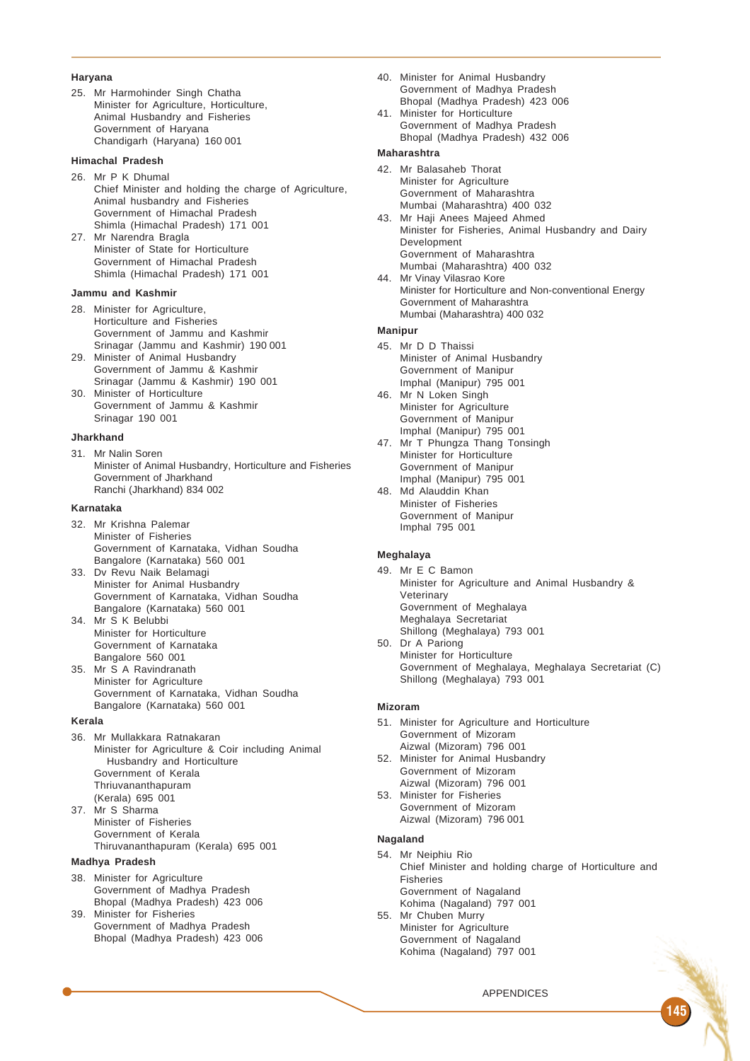#### **Haryana**

25. Mr Harmohinder Singh Chatha Minister for Agriculture, Horticulture, Animal Husbandry and Fisheries Government of Haryana Chandigarh (Haryana) 160 001

# **Himachal Pradesh**

- 26. Mr P K Dhumal Chief Minister and holding the charge of Agriculture, Animal husbandry and Fisheries Government of Himachal Pradesh Shimla (Himachal Pradesh) 171 001
- 27. Mr Narendra Bragla Minister of State for Horticulture Government of Himachal Pradesh Shimla (Himachal Pradesh) 171 001

### **Jammu and Kashmir**

- 28. Minister for Agriculture, Horticulture and Fisheries Government of Jammu and Kashmir Srinagar (Jammu and Kashmir) 190 001
- 29. Minister of Animal Husbandry Government of Jammu & Kashmir Srinagar (Jammu & Kashmir) 190 001
- 30. Minister of Horticulture Government of Jammu & Kashmir Srinagar 190 001

#### **Jharkhand**

31. Mr Nalin Soren Minister of Animal Husbandry, Horticulture and Fisheries Government of Jharkhand Ranchi (Jharkhand) 834 002

#### **Karnataka**

- 32. Mr Krishna Palemar Minister of Fisheries Government of Karnataka, Vidhan Soudha Bangalore (Karnataka) 560 001
- 33. Dv Revu Naik Belamagi Minister for Animal Husbandry Government of Karnataka, Vidhan Soudha Bangalore (Karnataka) 560 001
- 34. Mr S K Belubbi Minister for Horticulture Government of Karnataka Bangalore 560 001
- 35. Mr S A Ravindranath Minister for Agriculture Government of Karnataka, Vidhan Soudha Bangalore (Karnataka) 560 001

#### **Kerala**

- 36. Mr Mullakkara Ratnakaran Minister for Agriculture & Coir including Animal Husbandry and Horticulture Government of Kerala Thriuvananthapuram (Kerala) 695 001 37. Mr S Sharma
- Minister of Fisheries Government of Kerala Thiruvananthapuram (Kerala) 695 001

# **Madhya Pradesh**

- 38. Minister for Agriculture Government of Madhya Pradesh Bhopal (Madhya Pradesh) 423 006
- 39. Minister for Fisheries Government of Madhya Pradesh Bhopal (Madhya Pradesh) 423 006
- 40. Minister for Animal Husbandry Government of Madhya Pradesh Bhopal (Madhya Pradesh) 423 006
- 41. Minister for Horticulture Government of Madhya Pradesh Bhopal (Madhya Pradesh) 432 006

# **Maharashtra**

- 42. Mr Balasaheb Thorat Minister for Agriculture Government of Maharashtra Mumbai (Maharashtra) 400 032
- 43. Mr Haii Anees Majeed Ahmed Minister for Fisheries, Animal Husbandry and Dairy Development Government of Maharashtra Mumbai (Maharashtra) 400 032
- 44. Mr Vinay Vilasrao Kore Minister for Horticulture and Non-conventional Energy Government of Maharashtra Mumbai (Maharashtra) 400 032

#### **Manipur**

- 45. Mr D D Thaissi Minister of Animal Husbandry Government of Manipur Imphal (Manipur) 795 001
- 46. Mr N Loken Singh Minister for Agriculture Government of Manipur Imphal (Manipur) 795 001
- 47. Mr T Phungza Thang Tonsingh Minister for Horticulture Government of Manipur Imphal (Manipur) 795 001
- 48. Md Alauddin Khan Minister of Fisheries Government of Manipur Imphal 795 001

## **Meghalaya**

- 49. Mr E C Bamon Minister for Agriculture and Animal Husbandry & Veterinary Government of Meghalaya Meghalaya Secretariat Shillong (Meghalaya) 793 001
- 50. Dr A Pariong Minister for Horticulture Government of Meghalaya, Meghalaya Secretariat (C) Shillong (Meghalaya) 793 001

#### **Mizoram**

- 51. Minister for Agriculture and Horticulture Government of Mizoram Aizwal (Mizoram) 796 001
- 52. Minister for Animal Husbandry Government of Mizoram Aizwal (Mizoram) 796 001
- 53. Minister for Fisheries Government of Mizoram Aizwal (Mizoram) 796 001

#### **Nagaland**

## 54. Mr Neiphiu Rio

Chief Minister and holding charge of Horticulture and Fisheries Government of Nagaland Kohima (Nagaland) 797 001

55. Mr Chuben Murry Minister for Agriculture Government of Nagaland Kohima (Nagaland) 797 001

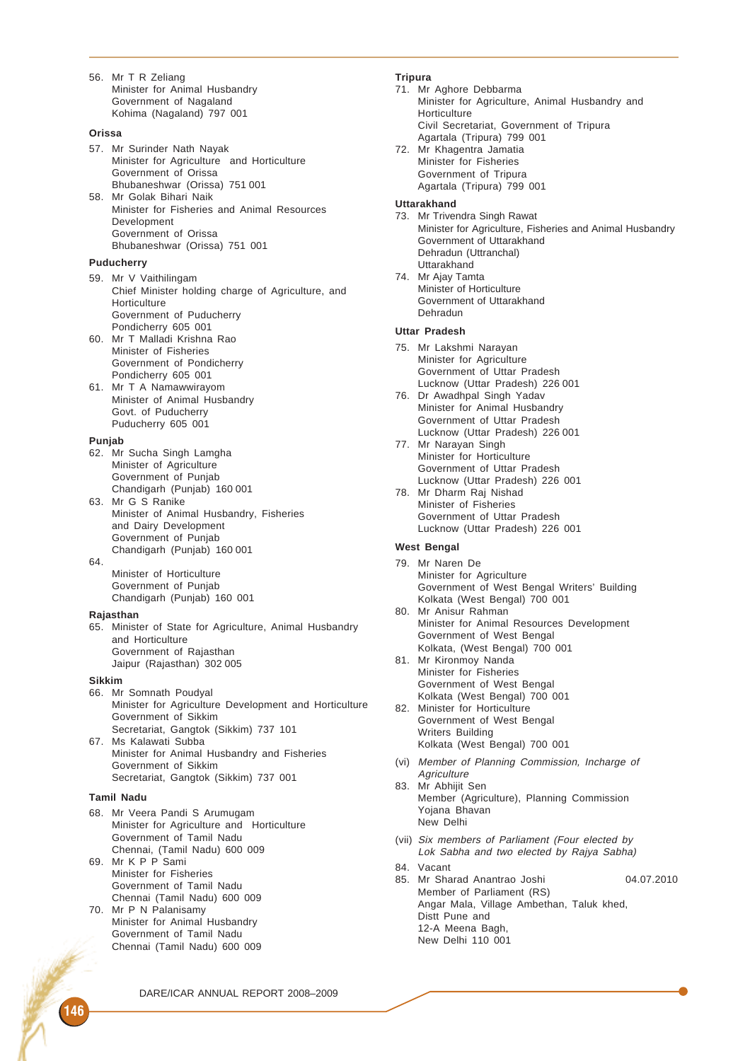56. Mr T R Zeliang Minister for Animal Husbandry Government of Nagaland Kohima (Nagaland) 797 001

#### **Orissa**

- 57. Mr Surinder Nath Nayak Minister for Agriculture and Horticulture Government of Orissa Bhubaneshwar (Orissa) 751 001
- 58. Mr Golak Bihari Naik Minister for Fisheries and Animal Resources Development Government of Orissa Bhubaneshwar (Orissa) 751 001

## **Puducherry**

- 59. Mr V Vaithilingam Chief Minister holding charge of Agriculture, and **Horticulture** Government of Puducherry Pondicherry 605 001
- 60. Mr T Malladi Krishna Rao Minister of Fisheries Government of Pondicherry Pondicherry 605 001
- 61. Mr T A Namawwirayom Minister of Animal Husbandry Govt. of Puducherry Puducherry 605 001

#### **Punjab**

- 62. Mr Sucha Singh Lamgha Minister of Agriculture Government of Punjab Chandigarh (Punjab) 160 001
- 63. Mr G S Ranike Minister of Animal Husbandry, Fisheries and Dairy Development Government of Punjab Chandigarh (Punjab) 160 001
- 64. Minister of Horticulture
	- Government of Punjab Chandigarh (Punjab) 160 001

## **Rajasthan**

65. Minister of State for Agriculture, Animal Husbandry and Horticulture Government of Rajasthan Jaipur (Rajasthan) 302 005

#### **Sikkim**

- 66. Mr Somnath Poudyal Minister for Agriculture Development and Horticulture Government of Sikkim Secretariat, Gangtok (Sikkim) 737 101
- 67. Ms Kalawati Subba Minister for Animal Husbandry and Fisheries Government of Sikkim Secretariat, Gangtok (Sikkim) 737 001

## **Tamil Nadu**

- 68. Mr Veera Pandi S Arumugam Minister for Agriculture and Horticulture Government of Tamil Nadu Chennai, (Tamil Nadu) 600 009
- 69. Mr K P P Sami Minister for Fisheries Government of Tamil Nadu Chennai (Tamil Nadu) 600 009
- 70. Mr P N Palanisamy Minister for Animal Husbandry Government of Tamil Nadu Chennai (Tamil Nadu) 600 009

# **Tripura**

71. Mr Aghore Debbarma Minister for Agriculture, Animal Husbandry and Horticulture Civil Secretariat, Government of Tripura Agartala (Tripura) 799 001 72. Mr Khagentra Jamatia Minister for Fisheries Government of Tripura Agartala (Tripura) 799 001

#### **Uttarakhand**

- 73. Mr Trivendra Singh Rawat Minister for Agriculture, Fisheries and Animal Husbandry Government of Uttarakhand Dehradun (Uttranchal) Uttarakhand
- 74. Mr Ajay Tamta Minister of Horticulture Government of Uttarakhand Dehradun

#### **Uttar Pradesh**

- 75. Mr Lakshmi Narayan Minister for Agriculture Government of Uttar Pradesh Lucknow (Uttar Pradesh) 226 001
- 76. Dr Awadhpal Singh Yadav Minister for Animal Husbandry Government of Uttar Pradesh Lucknow (Uttar Pradesh) 226 001
- 77. Mr Narayan Singh Minister for Horticulture Government of Uttar Pradesh Lucknow (Uttar Pradesh) 226 001
- 78. Mr Dharm Raj Nishad Minister of Fisheries Government of Uttar Pradesh Lucknow (Uttar Pradesh) 226 001

#### **West Bengal**

- 79. Mr Naren De Minister for Agriculture Government of West Bengal Writers' Building Kolkata (West Bengal) 700 001
- 80. Mr Anisur Rahman Minister for Animal Resources Development Government of West Bengal Kolkata, (West Bengal) 700 001
- 81. Mr Kironmoy Nanda Minister for Fisheries Government of West Bengal Kolkata (West Bengal) 700 001
- 82. Minister for Horticulture Government of West Bengal Writers Building Kolkata (West Bengal) 700 001
- (vi) Member of Planning Commission, Incharge of **Agriculture**
- 83. Mr Abhijit Sen Member (Agriculture), Planning Commission Yojana Bhavan New Delhi
- (vii) Six members of Parliament (Four elected by Lok Sabha and two elected by Rajya Sabha)
- 84. Vacant
- 85. Mr Sharad Anantrao Joshi 04.07.2010 Member of Parliament (RS) Angar Mala, Village Ambethan, Taluk khed, Distt Pune and 12-A Meena Bagh, New Delhi 110 001

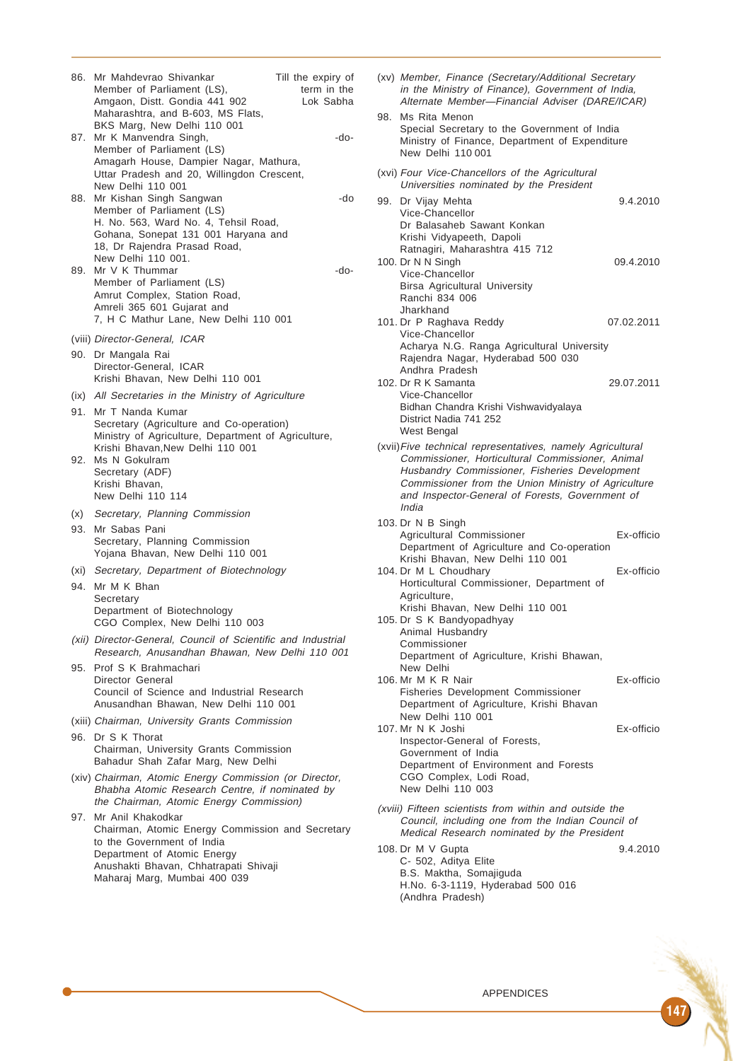| 86.<br>87. | Mr Mahdevrao Shivankar<br>Member of Parliament (LS),<br>Amgaon, Distt. Gondia 441 902<br>Maharashtra, and B-603, MS Flats,<br>BKS Marg, New Delhi 110 001<br>Mr K Manvendra Singh,<br>Member of Parliament (LS) | Till the expiry of<br>term in the<br>Lok Sabha<br>-do- |
|------------|-----------------------------------------------------------------------------------------------------------------------------------------------------------------------------------------------------------------|--------------------------------------------------------|
|            | Amagarh House, Dampier Nagar, Mathura,<br>Uttar Pradesh and 20, Willingdon Crescent,<br>New Delhi 110 001                                                                                                       |                                                        |
| 88.        | Mr Kishan Singh Sangwan<br>Member of Parliament (LS)<br>H. No. 563, Ward No. 4, Tehsil Road,<br>Gohana, Sonepat 131 001 Haryana and<br>18, Dr Rajendra Prasad Road,                                             | -do                                                    |
|            | New Delhi 110 001.<br>89. Mr V K Thummar<br>Member of Parliament (LS)<br>Amrut Complex, Station Road,<br>Amreli 365 601 Gujarat and<br>7, H C Mathur Lane, New Delhi 110 001                                    | -do-                                                   |
|            | (viii) Director-General, ICAR                                                                                                                                                                                   |                                                        |
|            | 90. Dr Mangala Rai<br>Director-General, ICAR<br>Krishi Bhavan, New Delhi 110 001                                                                                                                                |                                                        |
|            | (ix) All Secretaries in the Ministry of Agriculture                                                                                                                                                             |                                                        |
|            | 91. Mr T Nanda Kumar<br>Secretary (Agriculture and Co-operation)<br>Ministry of Agriculture, Department of Agriculture,<br>Krishi Bhavan, New Delhi 110 001                                                     |                                                        |
| 92.        | Ms N Gokulram<br>Secretary (ADF)<br>Krishi Bhavan.<br>New Delhi 110 114                                                                                                                                         |                                                        |
| (x)        | Secretary, Planning Commission                                                                                                                                                                                  |                                                        |
| 93.        | Mr Sabas Pani<br>Secretary, Planning Commission<br>Yojana Bhavan, New Delhi 110 001                                                                                                                             |                                                        |
|            | (xi) Secretary, Department of Biotechnology                                                                                                                                                                     |                                                        |
| 94.        | Mr M K Bhan<br>Secretary<br>Department of Biotechnology<br>CGO Complex, New Delhi 110 003                                                                                                                       |                                                        |
|            | (xii) Director-General, Council of Scientific and Industrial<br>Research, Anusandhan Bhawan, New Delhi 110 001                                                                                                  |                                                        |
| 95.        | Prof S K Brahmachari<br>Director General<br>Council of Science and Industrial Research<br>Anusandhan Bhawan, New Delhi 110 001                                                                                  |                                                        |
|            | (xiii) Chairman, University Grants Commission                                                                                                                                                                   |                                                        |
|            | 96. Dr S K Thorat<br>Chairman, University Grants Commission<br>Bahadur Shah Zafar Marg, New Delhi                                                                                                               |                                                        |
|            | (xiv) Chairman, Atomic Energy Commission (or Director,<br>Bhabha Atomic Research Centre, if nominated by<br>the Chairman, Atomic Energy Commission)                                                             |                                                        |
| 97.        | Mr Anil Khakodkar<br>Chairman, Atomic Energy Commission and Secretary<br>to the Government of India<br>Department of Atomic Energy<br>Anushakti Bhavan, Chhatrapati Shivaji<br>Maharaj Marg, Mumbai 400 039     |                                                        |

| (xv) Member, Finance (Secretary/Additional Secretary<br>in the Ministry of Finance), Government of India,<br>Alternate Member-Financial Adviser (DARE/ICAR)                                                                                                                        |            |
|------------------------------------------------------------------------------------------------------------------------------------------------------------------------------------------------------------------------------------------------------------------------------------|------------|
| 98.<br>Ms Rita Menon<br>Special Secretary to the Government of India<br>Ministry of Finance, Department of Expenditure<br>New Delhi 110 001                                                                                                                                        |            |
| (xvi) Four Vice-Chancellors of the Agricultural<br>Universities nominated by the President                                                                                                                                                                                         |            |
| Dr Vijay Mehta<br>99.<br>Vice-Chancellor                                                                                                                                                                                                                                           | 9.4.2010   |
| Dr Balasaheb Sawant Konkan<br>Krishi Vidyapeeth, Dapoli<br>Ratnagiri, Maharashtra 415 712<br>100. Dr N N Singh<br>Vice-Chancellor<br>Birsa Agricultural University<br>Ranchi 834 006                                                                                               | 09.4.2010  |
| Jharkhand<br>101. Dr P Raghava Reddy<br>Vice-Chancellor                                                                                                                                                                                                                            | 07.02.2011 |
| Acharya N.G. Ranga Agricultural University<br>Rajendra Nagar, Hyderabad 500 030<br>Andhra Pradesh                                                                                                                                                                                  |            |
| 102. Dr R K Samanta<br>Vice-Chancellor<br>Bidhan Chandra Krishi Vishwavidyalaya<br>District Nadia 741 252<br>West Bengal                                                                                                                                                           | 29.07.2011 |
| (xvii) Five technical representatives, namely Agricultural<br>Commissioner, Horticultural Commissioner, Animal<br>Husbandry Commissioner, Fisheries Development<br>Commissioner from the Union Ministry of Agriculture<br>and Inspector-General of Forests, Government of<br>India |            |
| 103. Dr N B Singh<br>Agricultural Commissioner<br>Department of Agriculture and Co-operation                                                                                                                                                                                       | Ex-officio |
| Krishi Bhavan, New Delhi 110 001<br>104. Dr M L Choudhary<br>Horticultural Commissioner, Department of                                                                                                                                                                             | Ex-officio |
| Agriculture,<br>Krishi Bhavan, New Delhi 110 001<br>105. Dr S K Bandyopadhyay<br>Animal Husbandry<br>Commissioner                                                                                                                                                                  |            |
| Department of Agriculture, Krishi Bhawan,<br>New Delhi                                                                                                                                                                                                                             |            |
| 106. Mr M K R Nair<br><b>Fisheries Development Commissioner</b><br>Department of Agriculture, Krishi Bhavan                                                                                                                                                                        | Ex-officio |
| New Delhi 110 001<br>107. Mr N K Joshi<br>Inspector-General of Forests,<br>Government of India<br>Department of Environment and Forests<br>CGO Complex, Lodi Road,<br>New Delhi 110 003                                                                                            | Ex-officio |
| (xviii) Fifteen scientists from within and outside the<br>Council, including one from the Indian Council of<br>Medical Research nominated by the President                                                                                                                         |            |
| 108. Dr M V Gupta<br>C- 502, Aditya Elite<br>B.S. Maktha, Somajiguda                                                                                                                                                                                                               | 9.4.2010   |

H.No. 6-3-1119, Hyderabad 500 016

(Andhra Pradesh)

147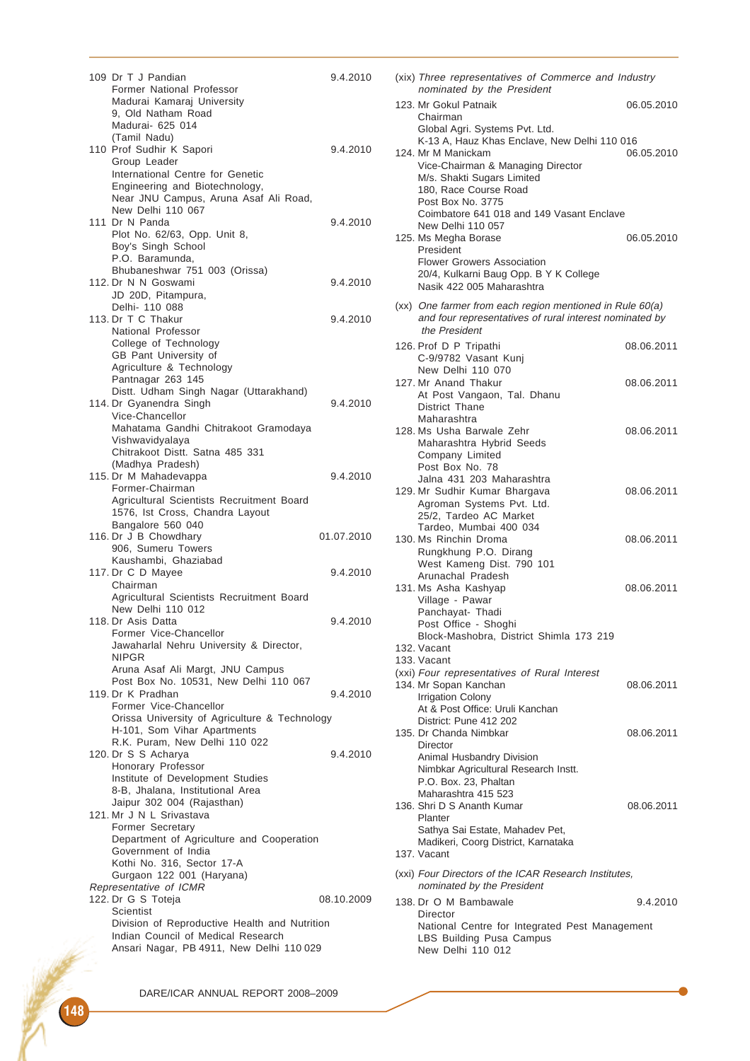| 109 Dr T J Pandian<br>Former National Professor                | 9.4.2010   |
|----------------------------------------------------------------|------------|
| Madurai Kamaraj University                                     |            |
| 9, Old Natham Road                                             |            |
| Madurai- 625 014                                               |            |
| (Tamil Nadu)                                                   |            |
| 110 Prof Sudhir K Sapori                                       | 9.4.2010   |
| Group Leader<br>International Centre for Genetic               |            |
| Engineering and Biotechnology,                                 |            |
| Near JNU Campus, Aruna Asaf Ali Road,                          |            |
| New Delhi 110 067                                              |            |
| 111 Dr N Panda                                                 | 9.4.2010   |
| Plot No. 62/63, Opp. Unit 8,                                   |            |
| Boy's Singh School                                             |            |
| P.O. Baramunda,<br>Bhubaneshwar 751 003 (Orissa)               |            |
| 112. Dr N N Goswami                                            | 9.4.2010   |
| JD 20D, Pitampura,                                             |            |
| Delhi- 110 088                                                 |            |
| 113. Dr T C Thakur                                             | 9.4.2010   |
| National Professor                                             |            |
| College of Technology                                          |            |
| GB Pant University of                                          |            |
| Agriculture & Technology                                       |            |
| Pantnagar 263 145<br>Distt. Udham Singh Nagar (Uttarakhand)    |            |
| 114. Dr Gyanendra Singh                                        | 9.4.2010   |
| Vice-Chancellor                                                |            |
| Mahatama Gandhi Chitrakoot Gramodaya                           |            |
| Vishwavidyalaya                                                |            |
| Chitrakoot Distt. Satna 485 331                                |            |
| (Madhya Pradesh)                                               |            |
| 115. Dr M Mahadevappa                                          | 9.4.2010   |
| Former-Chairman<br>Agricultural Scientists Recruitment Board   |            |
| 1576, Ist Cross, Chandra Layout                                |            |
| Bangalore 560 040                                              |            |
| 116. Dr J B Chowdhary                                          | 01.07.2010 |
| 906, Sumeru Towers                                             |            |
| Kaushambi, Ghaziabad                                           |            |
| 117. Dr C D Mayee<br>Chairman                                  | 9.4.2010   |
| Agricultural Scientists Recruitment Board                      |            |
| New Delhi 110 012                                              |            |
| 118. Dr Asis Datta                                             | 9.4.2010   |
| Former Vice-Chancellor                                         |            |
| Jawaharlal Nehru University & Director,                        |            |
| <b>NIPGR</b>                                                   |            |
| Aruna Asaf Ali Margt, JNU Campus                               |            |
| Post Box No. 10531, New Delhi 110 067<br>119. Dr K Pradhan     | 9.4.2010   |
| Former Vice-Chancellor                                         |            |
| Orissa University of Agriculture & Technology                  |            |
| H-101, Som Vihar Apartments                                    |            |
| R.K. Puram, New Delhi 110 022                                  |            |
| 120. Dr S S Acharya                                            | 9.4.2010   |
| Honorary Professor                                             |            |
| Institute of Development Studies                               |            |
| 8-B, Jhalana, Institutional Area<br>Jaipur 302 004 (Rajasthan) |            |
| 121. Mr J N L Srivastava                                       |            |
| Former Secretary                                               |            |
| Department of Agriculture and Cooperation                      |            |
| Government of India                                            |            |
| Kothi No. 316, Sector 17-A                                     |            |
| Gurgaon 122 001 (Haryana)                                      |            |
| Representative of ICMR                                         |            |
| 122. Dr G S Toteja<br>Scientist                                | 08.10.2009 |
| Division of Reproductive Health and Nutrition                  |            |
| Indian Council of Medical Research                             |            |
| Ansari Nagar, PB 4911, New Delhi 110 029                       |            |
|                                                                |            |

| (xix) Three representatives of Commerce and Industry<br>nominated by the President                                                                                                  |            |
|-------------------------------------------------------------------------------------------------------------------------------------------------------------------------------------|------------|
| 123. Mr Gokul Patnaik<br>Chairman<br>Global Agri. Systems Pvt. Ltd.                                                                                                                 | 06.05.2010 |
| K-13 A, Hauz Khas Enclave, New Delhi 110 016<br>124. Mr M Manickam<br>Vice-Chairman & Managing Director<br>M/s. Shakti Sugars Limited<br>180, Race Course Road<br>Post Box No. 3775 | 06.05.2010 |
| Coimbatore 641 018 and 149 Vasant Enclave<br>New Delhi 110 057<br>125. Ms Megha Borase                                                                                              | 06.05.2010 |
| President<br><b>Flower Growers Association</b><br>20/4, Kulkarni Baug Opp. B Y K College<br>Nasik 422 005 Maharashtra                                                               |            |
| (xx) One farmer from each region mentioned in Rule 60(a)<br>and four representatives of rural interest nominated by<br>the President                                                |            |
| 126. Prof D P Tripathi<br>C-9/9782 Vasant Kunj                                                                                                                                      | 08.06.2011 |
| New Delhi 110 070<br>127. Mr Anand Thakur<br>At Post Vangaon, Tal. Dhanu<br>District Thane                                                                                          | 08.06.2011 |
| Maharashtra<br>128. Ms Usha Barwale Zehr<br>Maharashtra Hybrid Seeds<br>Company Limited<br>Post Box No. 78                                                                          | 08.06.2011 |
| Jalna 431 203 Maharashtra<br>129. Mr Sudhir Kumar Bhargava<br>Agroman Systems Pvt. Ltd.<br>25/2, Tardeo AC Market                                                                   | 08.06.2011 |
| Tardeo, Mumbai 400 034<br>130. Ms Rinchin Droma<br>Rungkhung P.O. Dirang                                                                                                            | 08.06.2011 |
| West Kameng Dist. 790 101<br>Arunachal Pradesh<br>131. Ms Asha Kashyap<br>Village - Pawar<br>Panchayat- Thadi<br>Post Office - Shoghi                                               | 08.06.2011 |
| Block-Mashobra, District Shimla 173 219<br>132. Vacant                                                                                                                              |            |
| 133. Vacant<br>(xxi) Four representatives of Rural Interest<br>134. Mr Sopan Kanchan<br>Irrigation Colony<br>At & Post Office: Uruli Kanchan                                        | 08.06.2011 |
| District: Pune 412 202<br>135. Dr Chanda Nimbkar<br>Director<br>Animal Husbandry Division                                                                                           | 08.06.2011 |
| Nimbkar Agricultural Research Instt.<br>P.O. Box. 23, Phaltan<br>Maharashtra 415 523                                                                                                |            |
| 136. Shri D S Ananth Kumar<br>Planter<br>Sathya Sai Estate, Mahadev Pet,                                                                                                            | 08.06.2011 |
| Madikeri, Coorg District, Karnataka<br>137. Vacant                                                                                                                                  |            |
| (xxi) Four Directors of the ICAR Research Institutes,<br>nominated by the President                                                                                                 |            |
| 138. Dr O M Bambawale<br>Director<br>National Centre for Integrated Pest Management<br>LBS Building Pusa Campus<br>New Delhi 110 012                                                | 9.4.2010   |
|                                                                                                                                                                                     |            |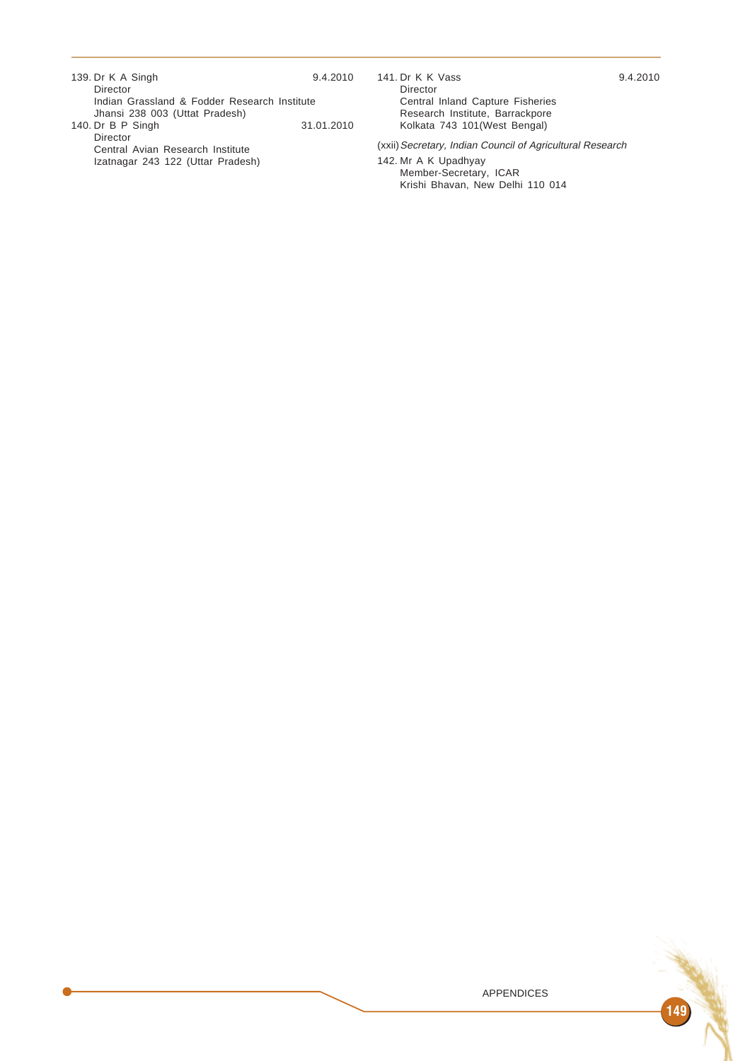| 139. Dr K A Singh                                                     | 9.4.2010   |
|-----------------------------------------------------------------------|------------|
| Director                                                              |            |
| Indian Grassland & Fodder Research Institute                          |            |
| Jhansi 238 003 (Uttat Pradesh)                                        |            |
| 140. Dr B P Singh                                                     | 31.01.2010 |
| Director                                                              |            |
| Central Avian Research Institute<br>Izatnagar 243 122 (Uttar Pradesh) |            |
|                                                                       |            |

141. Dr K K Vass 9.4.2010 Director Central Inland Capture Fisheries Research Institute, Barrackpore Kolkata 743 101(West Bengal)

(xxii)Secretary, Indian Council of Agricultural Research

142. Mr A K Upadhyay Member-Secretary, ICAR Krishi Bhavan, New Delhi 110 014

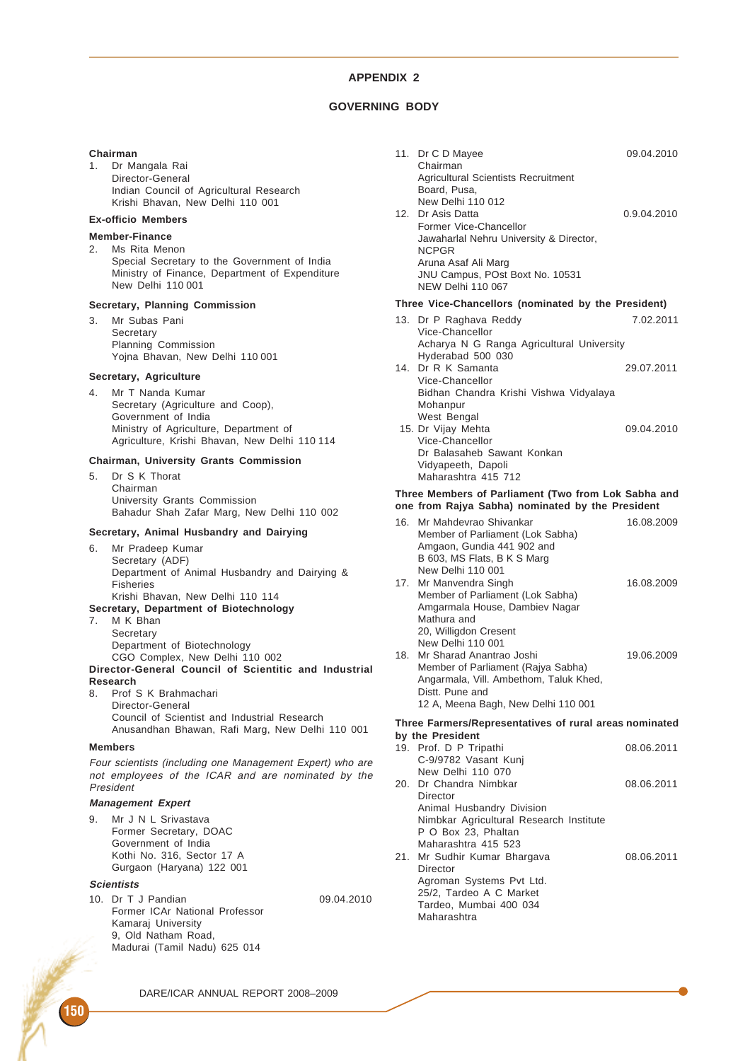# **GOVERNING BODY**

#### **Chairman**

1. Dr Mangala Rai Director-General Indian Council of Agricultural Research Krishi Bhavan, New Delhi 110 001

# **Ex-officio Members**

- **Member-Finance**
- 2. Ms Rita Menon Special Secretary to the Government of India Ministry of Finance, Department of Expenditure New Delhi 110 001

#### **Secretary, Planning Commission**

3. Mr Subas Pani **Secretary** Planning Commission Yojna Bhavan, New Delhi 110 001

## **Secretary, Agriculture**

4. Mr T Nanda Kumar Secretary (Agriculture and Coop), Government of India Ministry of Agriculture, Department of Agriculture, Krishi Bhavan, New Delhi 110 114

## **Chairman, University Grants Commission**

5. Dr S K Thorat Chairman University Grants Commission Bahadur Shah Zafar Marg, New Delhi 110 002

# **Secretary, Animal Husbandry and Dairying**

- 6. Mr Pradeep Kumar Secretary (ADF) Department of Animal Husbandry and Dairying & Fisheries Krishi Bhavan, New Delhi 110 114
- **Secretary, Department of Biotechnology**
- 7. M K Bhan Secretary Department of Biotechnology CGO Complex, New Delhi 110 002 **Director-General Council of Scientitic and Industrial**
- **Research** 8. Prof S K Brahmachari Director-General Council of Scientist and Industrial Research Anusandhan Bhawan, Rafi Marg, New Delhi 110 001

#### **Members**

Four scientists (including one Management Expert) who are not employees of the ICAR and are nominated by the President

## **Management Expert**

9. Mr J N L Srivastava Former Secretary, DOAC Government of India Kothi No. 316, Sector 17 A Gurgaon (Haryana) 122 001

#### **Scientists**

10. Dr T J Pandian 09.04.2010 Former ICAr National Professor Kamaraj University 9, Old Natham Road, Madurai (Tamil Nadu) 625 014

| 11. Dr C D Mayee<br>Chairman                         | 09.04.2010  |
|------------------------------------------------------|-------------|
| <b>Agricultural Scientists Recruitment</b>           |             |
| Board, Pusa,                                         |             |
| New Delhi 110 012                                    |             |
| 12. Dr Asis Datta<br>Former Vice-Chancellor          | 0.9.04.2010 |
| Jawaharlal Nehru University & Director,              |             |
| <b>NCPGR</b>                                         |             |
| Aruna Asaf Ali Marg                                  |             |
| JNU Campus, POst Boxt No. 10531                      |             |
| NFW Delhi 110 067                                    |             |
| Three Vice-Chancellors (nominated by the President)  |             |
| 13. Dr P Raghava Reddy                               | 7.02.2011   |
| Vice-Chancellor                                      |             |
| Acharya N G Ranga Agricultural University            |             |
| Hyderabad 500 030<br>14. Dr R K Samanta              |             |
| Vice-Chancellor                                      | 29.07.2011  |
| Bidhan Chandra Krishi Vishwa Vidyalaya               |             |
| Mohanpur                                             |             |
| West Bengal                                          |             |
| 15. Dr Vijay Mehta                                   | 09.04.2010  |
| Vice-Chancellor                                      |             |
| Dr Balasaheb Sawant Konkan                           |             |
| Vidyapeeth, Dapoli<br>Maharashtra 415 712            |             |
|                                                      |             |
| These Mambara of Darliament (Ture from Lak Cabbe and |             |

#### **Three Members of Parliament (Two from Lok Sabha and one from Rajya Sabha) nominated by the President**

| 16. Mr Mahdevrao Shivankar                              | 16.08.2009 |
|---------------------------------------------------------|------------|
| Member of Parliament (Lok Sabha)                        |            |
| Amgaon, Gundia 441 902 and                              |            |
| B 603, MS Flats, B K S Marg                             |            |
| New Delhi 110 001                                       |            |
| 17. Mr Manvendra Singh                                  | 16.08.2009 |
| Member of Parliament (Lok Sabha)                        |            |
| Amgarmala House, Dambiev Nagar                          |            |
| Mathura and                                             |            |
| 20, Willigdon Cresent                                   |            |
| New Delhi 110 001                                       |            |
| 18. Mr Sharad Anantrao Joshi                            | 19.06.2009 |
| Member of Parliament (Rajya Sabha)                      |            |
| Angarmala, Vill. Ambethom, Taluk Khed,                  |            |
| Distt. Pune and                                         |            |
| 12 A, Meena Bagh, New Delhi 110 001                     |            |
| Three Fermeral Depresentatives of rural areas nominated |            |

#### **Three Farmers/Representatives of rural areas nominated by the President**

| 19. Prof. D P Tripathi                  | 08.06.2011 |
|-----------------------------------------|------------|
| C-9/9782 Vasant Kunj                    |            |
| New Delhi 110 070                       |            |
| 20. Dr Chandra Nimbkar                  | 08.06.2011 |
| Director                                |            |
| Animal Husbandry Division               |            |
| Nimbkar Agricultural Research Institute |            |
| P O Box 23, Phaltan                     |            |
| Maharashtra 415 523                     |            |
| 21. Mr Sudhir Kumar Bhargava            | 08.06.2011 |
| Director                                |            |
| Agroman Systems Pvt Ltd.                |            |
| 25/2. Tardeo A C Market                 |            |
| Tardeo, Mumbai 400 034                  |            |
| Maharashtra                             |            |
|                                         |            |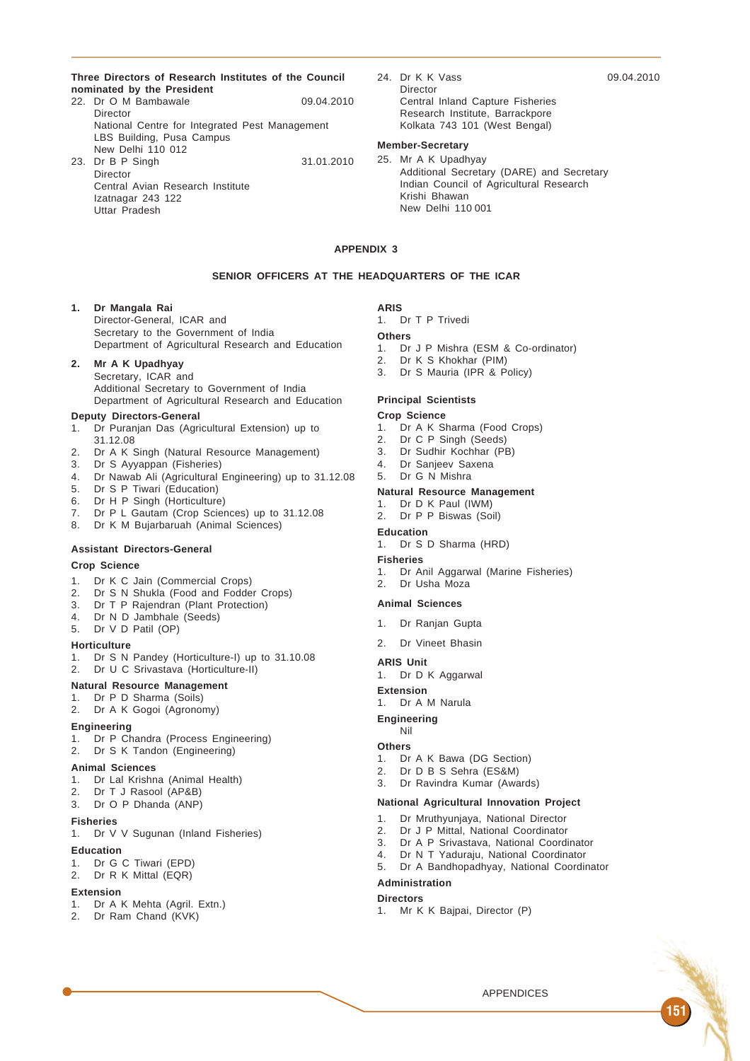**Three Directors of Research Institutes of the Council nominated by the President**

- 22. Dr O M Bambawale 09.04.2010 Director National Centre for Integrated Pest Management LBS Building, Pusa Campus New Delhi 110 012 23. Dr B P Singh 31.01.2010
- Director Central Avian Research Institute Izatnagar 243 122 Uttar Pradesh
- 24. Dr K K Vass 09.04.2010 Director Central Inland Capture Fisheries Research Institute, Barrackpore Kolkata 743 101 (West Bengal)

# **Member-Secretary**

25. Mr A K Upadhyay Additional Secretary (DARE) and Secretary Indian Council of Agricultural Research Krishi Bhawan New Delhi 110 001

#### **APPENDIX 3**

## **SENIOR OFFICERS AT THE HEADQUARTERS OF THE ICAR**

# **1. Dr Mangala Rai**

Director-General, ICAR and Secretary to the Government of India Department of Agricultural Research and Education

## **2. Mr A K Upadhyay**

Secretary, ICAR and Additional Secretary to Government of India Department of Agricultural Research and Education

# **Deputy Directors-General**

- 1. Dr Puranjan Das (Agricultural Extension) up to 31.12.08
- 2. Dr A K Singh (Natural Resource Management)
- 3. Dr S Ayyappan (Fisheries)
- 4. Dr Nawab Ali (Agricultural Engineering) up to 31.12.08
- 5. Dr S P Tiwari (Education)
- 6. Dr H P Singh (Horticulture)
- 7. Dr P L Gautam (Crop Sciences) up to 31.12.08
- 8. Dr K M Bujarbaruah (Animal Sciences)

#### **Assistant Directors-General**

#### **Crop Science**

- 1. Dr K C Jain (Commercial Crops)
- 2. Dr S N Shukla (Food and Fodder Crops)
- 3. Dr T P Rajendran (Plant Protection)
- 4. Dr N D Jambhale (Seeds)
- 5. Dr V D Patil (OP)

#### **Horticulture**

- 1. Dr S N Pandey (Horticulture-I) up to 31.10.08
- 2. Dr U C Srivastava (Horticulture-II)

# **Natural Resource Management**

- 1. Dr P D Sharma (Soils)
- 2. Dr A K Gogoi (Agronomy)

## **Engineering**

- 1. Dr P Chandra (Process Engineering)
- 2. Dr S K Tandon (Engineering)

#### **Animal Sciences**

- 1. Dr Lal Krishna (Animal Health)
- 2. Dr T J Rasool (AP&B)
- 3. Dr O P Dhanda (ANP)

# **Fisheries**

1. Dr V V Sugunan (Inland Fisheries)

# **Education**

- 1. Dr G C Tiwari (EPD)
- 2. Dr R K Mittal (EQR)

## **Extension**

- 1. Dr A K Mehta (Agril. Extn.)
- 2. Dr Ram Chand (KVK)

**ARIS** 1. Dr T P Trivedi

# **Others**

- 1. Dr J P Mishra (ESM & Co-ordinator)
- 2. Dr K S Khokhar (PIM)
- 3. Dr S Mauria (IPR & Policy)

#### **Principal Scientists**

## **Crop Science**

- 1. Dr A K Sharma (Food Crops)
- 2. Dr C P Singh (Seeds)
- 3. Dr Sudhir Kochhar (PB)
- 4. Dr Sanjeev Saxena
- 5. Dr G N Mishra

## **Natural Resource Management**

- 1. Dr D K Paul (IWM)
- 2. Dr P P Biswas (Soil)
- **Education**
- 1. Dr S D Sharma (HRD)
- **Fisheries**
- 1. Dr Anil Aggarwal (Marine Fisheries)
- 2. Dr Usha Moza

#### **Animal Sciences**

- 1. Dr Ranjan Gupta
- 2. Dr Vineet Bhasin

### **ARIS Unit**

1. Dr D K Aggarwal

**Extension**

1. Dr A M Narula

#### **Engineering** Nil

# **Others**

- 1. Dr A K Bawa (DG Section)
- 2. Dr D B S Sehra (ES&M)
- 3. Dr Ravindra Kumar (Awards)

#### **National Agricultural Innovation Project**

- 1. Dr Mruthyunjaya, National Director
- 
- 2. Dr J P Mittal, National Coordinator<br>3. Dr A P Srivastava, National Coordi 3. Dr A P Srivastava, National Coordinator
- 4. Dr N T Yaduraju, National Coordinator
- 5. Dr A Bandhopadhyay, National Coordinator

#### **Administration**

#### **Directors**

1. Mr K K Bajpai, Director (P)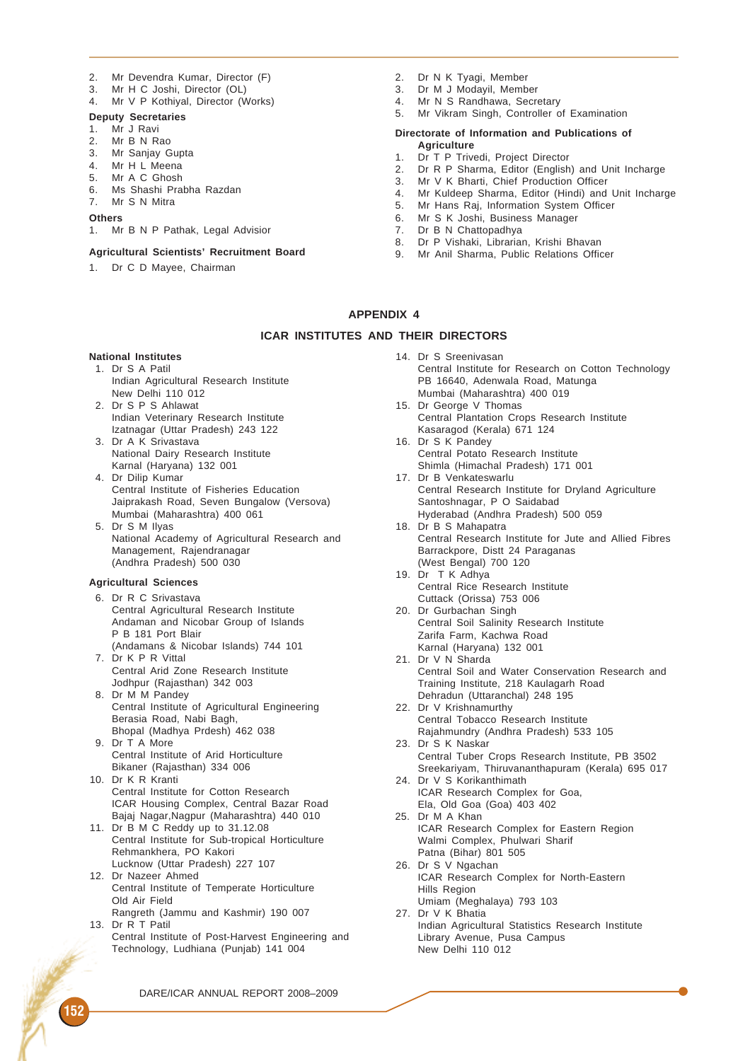- 2. Mr Devendra Kumar, Director (F)<br>3. Mr H C Joshi Director (OL)
- Mr H C Joshi, Director (OL)
- 4. Mr V P Kothiyal, Director (Works)

# **Deputy Secretaries**

- 1. Mr J Ravi
- 2. Mr B N Rao
- 3. Mr Sanjay Gupta
- 4. Mr H L Meena<br>5. Mr A C Ghosh
- Mr A C Ghosh
- 6. Ms Shashi Prabha Razdan 7. Mr S N Mitra
- **Others**
- 1. Mr B N P Pathak, Legal Advisior
- 

# **Agricultural Scientists' Recruitment Board**

1. Dr C D Mayee, Chairman

- 2. Dr N K Tyagi, Member<br>3. Dr M J Modavil. Member
- Dr M J Modavil, Member
- 4. Mr N S Randhawa, Secretary
- 5. Mr Vikram Singh, Controller of Examination

#### **Directorate of Information and Publications of Agriculture**

- 1. Dr T P Trivedi, Project Director
- 2. Dr R P Sharma, Editor (English) and Unit Incharge
- 3. Mr V K Bharti, Chief Production Officer
- 4. Mr Kuldeep Sharma, Editor (Hindi) and Unit Incharge
- 5. Mr Hans Raj, Information System Officer
- 6. Mr S K Joshi, Business Manager
- 7. Dr B N Chattopadhya<br>8. Dr P Vishaki, Librariar
- Dr P Vishaki, Librarian, Krishi Bhavan
- 9. Mr Anil Sharma, Public Relations Officer

## **APPENDIX 4**

#### **ICAR INSTITUTES AND THEIR DIRECTORS**

## **National Institutes**

- 1. Dr S A Patil Indian Agricultural Research Institute New Delhi 110 012
- 2. Dr S P S Ahlawat Indian Veterinary Research Institute Izatnagar (Uttar Pradesh) 243 122
- 3. Dr A K Srivastava National Dairy Research Institute Karnal (Haryana) 132 001
- 4. Dr Dilip Kumar Central Institute of Fisheries Education Jaiprakash Road, Seven Bungalow (Versova) Mumbai (Maharashtra) 400 061
- 5. Dr S M Ilyas National Academy of Agricultural Research and Management, Rajendranagar (Andhra Pradesh) 500 030

#### **Agricultural Sciences**

- 6. Dr R C Srivastava Central Agricultural Research Institute Andaman and Nicobar Group of Islands P B 181 Port Blair (Andamans & Nicobar Islands) 744 101
- 7. Dr K P R Vittal Central Arid Zone Research Institute Jodhpur (Rajasthan) 342 003
- 8. Dr M M Pandey Central Institute of Agricultural Engineering Berasia Road, Nabi Bagh, Bhopal (Madhya Prdesh) 462 038
- 9. Dr T A More Central Institute of Arid Horticulture Bikaner (Rajasthan) 334 006
- 10. Dr K R Kranti Central Institute for Cotton Research ICAR Housing Complex, Central Bazar Road Bajaj Nagar,Nagpur (Maharashtra) 440 010
- 11. Dr B M C Reddy up to 31.12.08 Central Institute for Sub-tropical Horticulture Rehmankhera, PO Kakori Lucknow (Uttar Pradesh) 227 107
- 12. Dr Nazeer Ahmed Central Institute of Temperate Horticulture Old Air Field
- Rangreth (Jammu and Kashmir) 190 007 13. Dr R T Patil
- Central Institute of Post-Harvest Engineering and Technology, Ludhiana (Punjab) 141 004
- 14. Dr S Sreenivasan
	- Central Institute for Research on Cotton Technology PB 16640, Adenwala Road, Matunga Mumbai (Maharashtra) 400 019
- 15. Dr George V Thomas Central Plantation Crops Research Institute Kasaragod (Kerala) 671 124
- 16. Dr S K Pandey Central Potato Research Institute Shimla (Himachal Pradesh) 171 001
- 17. Dr B Venkateswarlu Central Research Institute for Dryland Agriculture Santoshnagar, P O Saidabad Hyderabad (Andhra Pradesh) 500 059
- 18. Dr B S Mahapatra Central Research Institute for Jute and Allied Fibres Barrackpore, Distt 24 Paraganas (West Bengal) 700 120
- 19. Dr T K Adhya Central Rice Research Institute Cuttack (Orissa) 753 006
- 20. Dr Gurbachan Singh Central Soil Salinity Research Institute Zarifa Farm, Kachwa Road Karnal (Haryana) 132 001
- 21. Dr V N Sharda Central Soil and Water Conservation Research and Training Institute, 218 Kaulagarh Road Dehradun (Uttaranchal) 248 195
- 22. Dr V Krishnamurthy Central Tobacco Research Institute Rajahmundry (Andhra Pradesh) 533 105
- 23. Dr S K Naskar Central Tuber Crops Research Institute, PB 3502 Sreekariyam, Thiruvananthapuram (Kerala) 695 017 24. Dr V S Korikanthimath
- ICAR Research Complex for Goa, Ela, Old Goa (Goa) 403 402
- 25. Dr M A Khan ICAR Research Complex for Eastern Region Walmi Complex, Phulwari Sharif Patna (Bihar) 801 505
- 26. Dr S V Ngachan ICAR Research Complex for North-Eastern Hills Region Umiam (Meghalaya) 793 103
- 27. Dr V K Bhatia Indian Agricultural Statistics Research Institute Library Avenue, Pusa Campus New Delhi 110 012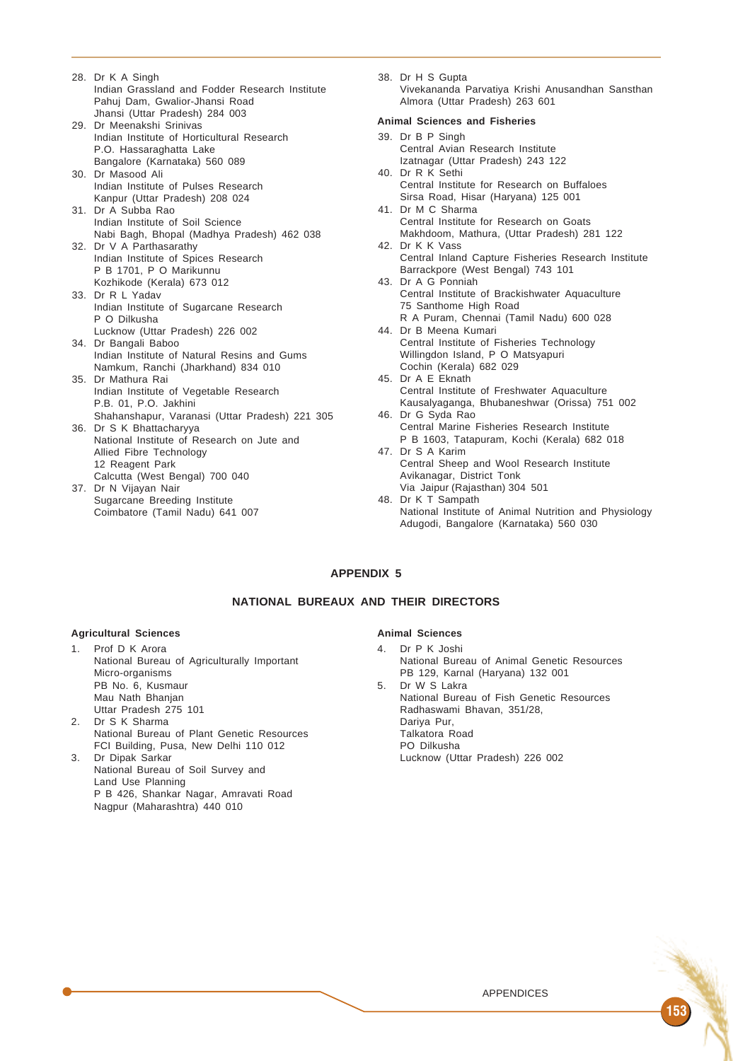- 28. Dr K A Singh Indian Grassland and Fodder Research Institute Pahuj Dam, Gwalior-Jhansi Road Jhansi (Uttar Pradesh) 284 003
- 29. Dr Meenakshi Srinivas Indian Institute of Horticultural Research P.O. Hassaraghatta Lake Bangalore (Karnataka) 560 089
- 30. Dr Masood Ali Indian Institute of Pulses Research Kanpur (Uttar Pradesh) 208 024
- 31. Dr A Subba Rao Indian Institute of Soil Science Nabi Bagh, Bhopal (Madhya Pradesh) 462 038
- 32. Dr V A Parthasarathy Indian Institute of Spices Research P B 1701, P O Marikunnu Kozhikode (Kerala) 673 012
- 33. Dr R L Yadav Indian Institute of Sugarcane Research P O Dilkusha
- Lucknow (Uttar Pradesh) 226 002 34. Dr Bangali Baboo
- Indian Institute of Natural Resins and Gums Namkum, Ranchi (Jharkhand) 834 010 35. Dr Mathura Rai
- Indian Institute of Vegetable Research P.B. 01, P.O. Jakhini Shahanshapur, Varanasi (Uttar Pradesh) 221 305
- 36. Dr S K Bhattacharyya National Institute of Research on Jute and Allied Fibre Technology 12 Reagent Park Calcutta (West Bengal) 700 040
- 37. Dr N Vijayan Nair Sugarcane Breeding Institute Coimbatore (Tamil Nadu) 641 007

38. Dr H S Gupta Vivekananda Parvatiya Krishi Anusandhan Sansthan Almora (Uttar Pradesh) 263 601

## **Animal Sciences and Fisheries**

- 39. Dr B P Singh Central Avian Research Institute Izatnagar (Uttar Pradesh) 243 122 40. Dr R K Sethi
- Central Institute for Research on Buffaloes Sirsa Road, Hisar (Haryana) 125 001
- 41. Dr M C Sharma Central Institute for Research on Goats Makhdoom, Mathura, (Uttar Pradesh) 281 122
- 42. Dr K K Vass Central Inland Capture Fisheries Research Institute Barrackpore (West Bengal) 743 101
- 43. Dr A G Ponniah Central Institute of Brackishwater Aquaculture 75 Santhome High Road
- R A Puram, Chennai (Tamil Nadu) 600 028 44. Dr B Meena Kumari Central Institute of Fisheries Technology Willingdon Island, P O Matsyapuri
- Cochin (Kerala) 682 029 45. Dr A E Eknath Central Institute of Freshwater Aquaculture
- Kausalyaganga, Bhubaneshwar (Orissa) 751 002 46. Dr G Syda Rao
- Central Marine Fisheries Research Institute P B 1603, Tatapuram, Kochi (Kerala) 682 018 47. Dr S A Karim
- Central Sheep and Wool Research Institute Avikanagar, District Tonk Via Jaipur (Rajasthan) 304 501
- 48. Dr K T Sampath National Institute of Animal Nutrition and Physiology Adugodi, Bangalore (Karnataka) 560 030

# **APPENDIX 5**

# **NATIONAL BUREAUX AND THEIR DIRECTORS**

## **Agricultural Sciences**

- 1. Prof D K Arora National Bureau of Agriculturally Important Micro-organisms PB No. 6, Kusmaur Mau Nath Bhanjan Uttar Pradesh 275 101 2. Dr S K Sharma
- National Bureau of Plant Genetic Resources FCI Building, Pusa, New Delhi 110 012
- 3. Dr Dipak Sarkar National Bureau of Soil Survey and Land Use Planning P B 426, Shankar Nagar, Amravati Road Nagpur (Maharashtra) 440 010

## **Animal Sciences**

- 4. Dr P K Joshi National Bureau of Animal Genetic Resources PB 129, Karnal (Haryana) 132 001
- 5. Dr W S Lakra National Bureau of Fish Genetic Resources Radhaswami Bhavan, 351/28, Dariya Pur, Talkatora Road PO Dilkusha Lucknow (Uttar Pradesh) 226 002

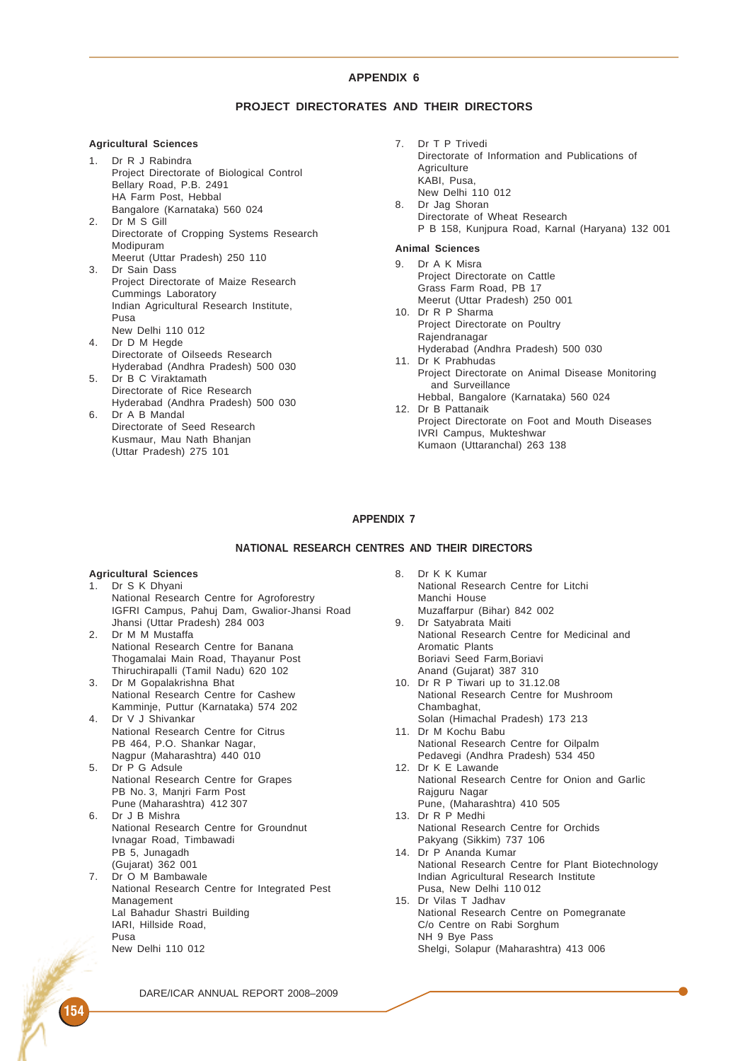## **PROJECT DIRECTORATES AND THEIR DIRECTORS**

#### **Agricultural Sciences**

- 1. Dr R J Rabindra Project Directorate of Biological Control Bellary Road, P.B. 2491 HA Farm Post, Hebbal Bangalore (Karnataka) 560 024
- 2. Dr M S Gill Directorate of Cropping Systems Research Modipuram Meerut (Uttar Pradesh) 250 110
- 3. Dr Sain Dass Project Directorate of Maize Research Cummings Laboratory Indian Agricultural Research Institute, Pusa New Delhi 110 012
- 4. Dr D M Hegde Directorate of Oilseeds Research Hyderabad (Andhra Pradesh) 500 030
- 5. Dr B C Viraktamath Directorate of Rice Research Hyderabad (Andhra Pradesh) 500 030
- 6. Dr A B Mandal Directorate of Seed Research Kusmaur, Mau Nath Bhanjan (Uttar Pradesh) 275 101

7. Dr T P Trivedi Directorate of Information and Publications of **Agriculture** KABI, Pusa, New Delhi 110 012 8. Dr Jag Shoran Directorate of Wheat Research P B 158, Kunjpura Road, Karnal (Haryana) 132 001

#### **Animal Sciences**

- 9. Dr A K Misra Project Directorate on Cattle Grass Farm Road, PB 17 Meerut (Uttar Pradesh) 250 001
- 10. Dr R P Sharma Project Directorate on Poultry Rajendranagar Hyderabad (Andhra Pradesh) 500 030
- 11. Dr K Prabhudas Project Directorate on Animal Disease Monitoring and Surveillance
- Hebbal, Bangalore (Karnataka) 560 024 12. Dr B Pattanaik Project Directorate on Foot and Mouth Diseases IVRI Campus, Mukteshwar Kumaon (Uttaranchal) 263 138

## **APPENDIX 7**

## **NATIONAL RESEARCH CENTRES AND THEIR DIRECTORS**

#### **Agricultural Sciences**

- 1. Dr S K Dhyani National Research Centre for Agroforestry IGFRI Campus, Pahuj Dam, Gwalior-Jhansi Road Jhansi (Uttar Pradesh) 284 003 2. Dr M M Mustaffa National Research Centre for Banana Thogamalai Main Road, Thayanur Post Thiruchirapalli (Tamil Nadu) 620 102 3. Dr M Gopalakrishna Bhat National Research Centre for Cashew Kamminje, Puttur (Karnataka) 574 202 4. Dr V J Shivankar National Research Centre for Citrus
- PB 464, P.O. Shankar Nagar, Nagpur (Maharashtra) 440 010 5. Dr P G Adsule
- National Research Centre for Grapes PB No. 3, Manjri Farm Post Pune (Maharashtra) 412 307
- 6. Dr J B Mishra National Research Centre for Groundnut Ivnagar Road, Timbawadi PB 5, Junagadh (Gujarat) 362 001 7. Dr O M Bambawale
- National Research Centre for Integrated Pest Management Lal Bahadur Shastri Building IARI, Hillside Road, Pusa New Delhi 110 012
- 8. Dr K K Kumar National Research Centre for Litchi Manchi House Muzaffarpur (Bihar) 842 002 9. Dr Satyabrata Maiti National Research Centre for Medicinal and Aromatic Plants Boriavi Seed Farm,Boriavi Anand (Gujarat) 387 310 10. Dr R P Tiwari up to 31.12.08 National Research Centre for Mushroom Chambaghat, Solan (Himachal Pradesh) 173 213 11. Dr M Kochu Babu National Research Centre for Oilpalm Pedavegi (Andhra Pradesh) 534 450 12. Dr K E Lawande National Research Centre for Onion and Garlic Rajguru Nagar Pune, (Maharashtra) 410 505 13. Dr R P Medhi National Research Centre for Orchids Pakyang (Sikkim) 737 106 14. Dr P Ananda Kumar National Research Centre for Plant Biotechnology Indian Agricultural Research Institute Pusa, New Delhi 110 012 15. Dr Vilas T Jadhav National Research Centre on Pomegranate C/o Centre on Rabi Sorghum NH 9 Bye Pass Shelgi, Solapur (Maharashtra) 413 006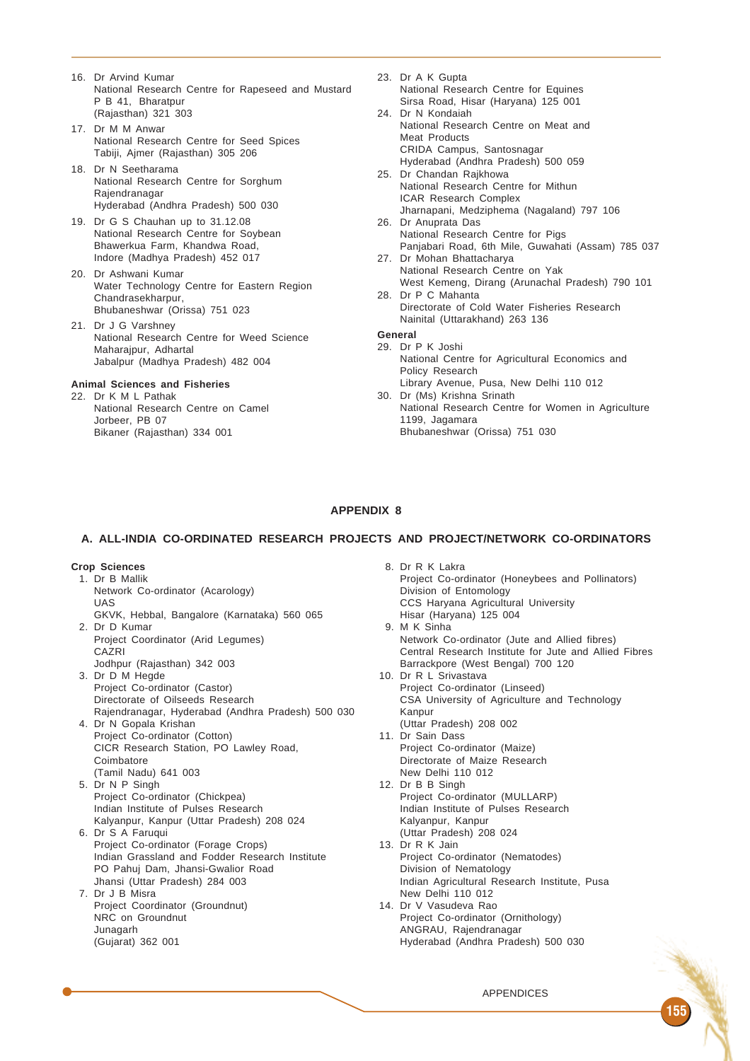- 16. Dr Arvind Kumar National Research Centre for Rapeseed and Mustard P B 41, Bharatpur (Rajasthan) 321 303
- 17. Dr M M Anwar National Research Centre for Seed Spices Tabiji, Ajmer (Rajasthan) 305 206
- 18. Dr N Seetharama National Research Centre for Sorghum Rajendranagar Hyderabad (Andhra Pradesh) 500 030
- 19. Dr G S Chauhan up to 31.12.08 National Research Centre for Soybean Bhawerkua Farm, Khandwa Road, Indore (Madhya Pradesh) 452 017
- 20. Dr Ashwani Kumar Water Technology Centre for Eastern Region Chandrasekharpur, Bhubaneshwar (Orissa) 751 023
- 21. Dr J G Varshney National Research Centre for Weed Science Maharajpur, Adhartal Jabalpur (Madhya Pradesh) 482 004

## **Animal Sciences and Fisheries**

22. Dr K M L Pathak National Research Centre on Camel Jorbeer, PB 07 Bikaner (Rajasthan) 334 001

- 23. Dr A K Gupta National Research Centre for Equines Sirsa Road, Hisar (Haryana) 125 001
- 24. Dr N Kondaiah National Research Centre on Meat and Meat Products CRIDA Campus, Santosnagar Hyderabad (Andhra Pradesh) 500 059
- 25. Dr Chandan Rajkhowa National Research Centre for Mithun ICAR Research Complex Jharnapani, Medziphema (Nagaland) 797 106
- 26. Dr Anuprata Das National Research Centre for Pigs Panjabari Road, 6th Mile, Guwahati (Assam) 785 037
- 27. Dr Mohan Bhattacharya National Research Centre on Yak West Kemeng, Dirang (Arunachal Pradesh) 790 101
- 28. Dr P C Mahanta Directorate of Cold Water Fisheries Research Nainital (Uttarakhand) 263 136

# **General**

- 29. Dr P K Joshi National Centre for Agricultural Economics and Policy Research Library Avenue, Pusa, New Delhi 110 012
- 30. Dr (Ms) Krishna Srinath
- National Research Centre for Women in Agriculture 1199, Jagamara Bhubaneshwar (Orissa) 751 030

# **APPENDIX 8**

#### **A. ALL-INDIA CO-ORDINATED RESEARCH PROJECTS AND PROJECT/NETWORK CO-ORDINATORS**

## **Crop Sciences**

- 1. Dr B Mallik Network Co-ordinator (Acarology) UAS GKVK, Hebbal, Bangalore (Karnataka) 560 065
- 2. Dr D Kumar Project Coordinator (Arid Legumes) CAZRI Jodhpur (Rajasthan) 342 003
- 3. Dr D M Hegde Project Co-ordinator (Castor) Directorate of Oilseeds Research Rajendranagar, Hyderabad (Andhra Pradesh) 500 030
- 4. Dr N Gopala Krishan Project Co-ordinator (Cotton) CICR Research Station, PO Lawley Road, Coimbatore
- (Tamil Nadu) 641 003 5. Dr N P Singh Project Co-ordinator (Chickpea) Indian Institute of Pulses Research Kalyanpur, Kanpur (Uttar Pradesh) 208 024
- 6. Dr S A Faruqui Project Co-ordinator (Forage Crops) Indian Grassland and Fodder Research Institute PO Pahuj Dam, Jhansi-Gwalior Road Jhansi (Uttar Pradesh) 284 003
- 7. Dr J B Misra Project Coordinator (Groundnut) NRC on Groundnut Junagarh (Gujarat) 362 001

8. Dr R K Lakra Project Co-ordinator (Honeybees and Pollinators) Division of Entomology CCS Haryana Agricultural University Hisar (Haryana) 125 004 9. M K Sinha Network Co-ordinator (Jute and Allied fibres) Central Research Institute for Jute and Allied Fibres Barrackpore (West Bengal) 700 120 10. Dr R L Srivastava Project Co-ordinator (Linseed) CSA University of Agriculture and Technology Kanpur (Uttar Pradesh) 208 002 11. Dr Sain Dass Project Co-ordinator (Maize) Directorate of Maize Research New Delhi 110 012 12. Dr B B Singh Project Co-ordinator (MULLARP) Indian Institute of Pulses Research Kalyanpur, Kanpur (Uttar Pradesh) 208 024 13. Dr R K Jain Project Co-ordinator (Nematodes) Division of Nematology Indian Agricultural Research Institute, Pusa New Delhi 110 012 14. Dr V Vasudeva Rao Project Co-ordinator (Ornithology) ANGRAU, Rajendranagar Hyderabad (Andhra Pradesh) 500 030

APPENDICES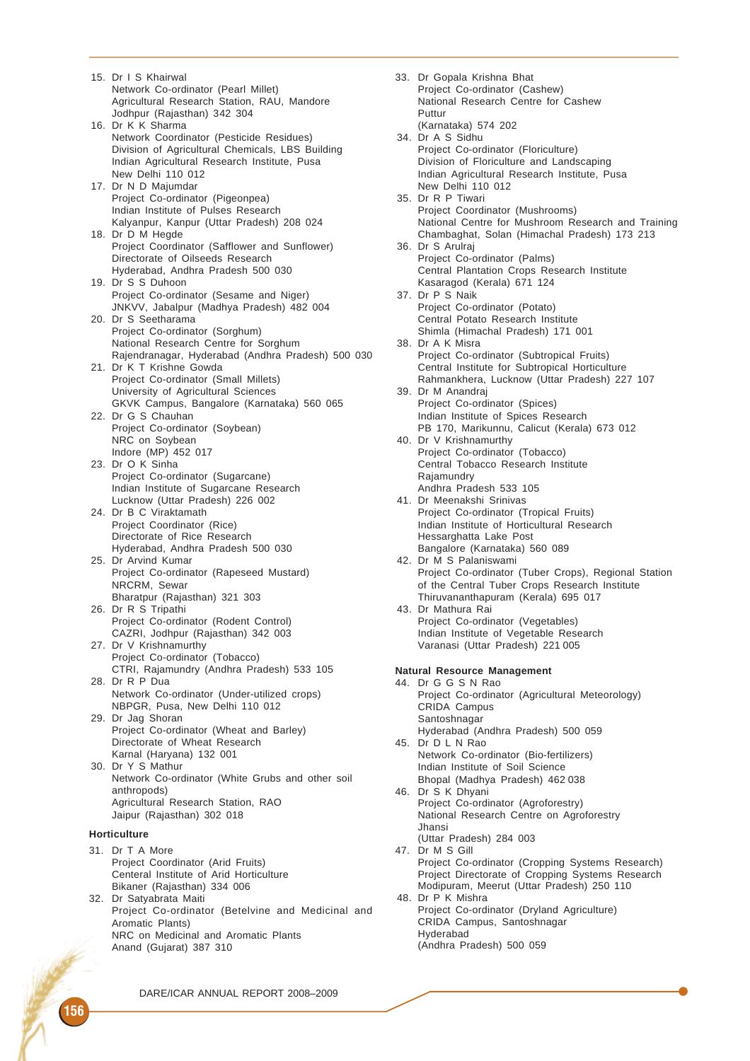15. Dr I S Khairwal Network Co-ordinator (Pearl Millet) Agricultural Research Station, RAU, Mandore Jodhpur (Rajasthan) 342 304 16. Dr K K Sharma Network Coordinator (Pesticide Residues) Division of Agricultural Chemicals, LBS Building Indian Agricultural Research Institute, Pusa New Delhi 110 012 17. Dr N D Majumdar Project Co-ordinator (Pigeonpea) Indian Institute of Pulses Research Kalyanpur, Kanpur (Uttar Pradesh) 208 024 18. Dr D M Hegde Project Coordinator (Safflower and Sunflower) Directorate of Oilseeds Research Hyderabad, Andhra Pradesh 500 030 19. Dr S S Duhoon Project Co-ordinator (Sesame and Niger) JNKVV, Jabalpur (Madhya Pradesh) 482 004 20. Dr S Seetharama Project Co-ordinator (Sorghum) National Research Centre for Sorghum Rajendranagar, Hyderabad (Andhra Pradesh) 500 030 21. Dr K T Krishne Gowda Project Co-ordinator (Small Millets) University of Agricultural Sciences GKVK Campus, Bangalore (Karnataka) 560 065 22. Dr G S Chauhan Project Co-ordinator (Soybean) NRC on Soybean Indore (MP) 452 017 23. Dr O K Sinha Project Co-ordinator (Sugarcane) Indian Institute of Sugarcane Research Lucknow (Uttar Pradesh) 226 002 24. Dr B C Viraktamath Project Coordinator (Rice) Directorate of Rice Research Hyderabad, Andhra Pradesh 500 030 25. Dr Arvind Kumar Project Co-ordinator (Rapeseed Mustard) NRCRM, Sewar Bharatpur (Rajasthan) 321 303 26. Dr R S Tripathi Project Co-ordinator (Rodent Control) CAZRI, Jodhpur (Rajasthan) 342 003 27. Dr V Krishnamurthy Project Co-ordinator (Tobacco) CTRI, Rajamundry (Andhra Pradesh) 533 105 28. Dr R P Dua Network Co-ordinator (Under-utilized crops) NBPGR, Pusa, New Delhi 110 012 29. Dr Jag Shoran Project Co-ordinator (Wheat and Barley) Directorate of Wheat Research Karnal (Haryana) 132 001 30. Dr Y S Mathur Network Co-ordinator (White Grubs and other soil anthropods) Agricultural Research Station, RAO Jaipur (Rajasthan) 302 018 **Horticulture** 31. Dr T A More Project Coordinator (Arid Fruits) Centeral Institute of Arid Horticulture Bikaner (Rajasthan) 334 006 32. Dr Satyabrata Maiti

Project Co-ordinator (Betelvine and Medicinal and Aromatic Plants) NRC on Medicinal and Aromatic Plants Anand (Gujarat) 387 310

33. Dr Gopala Krishna Bhat Project Co-ordinator (Cashew) National Research Centre for Cashew Puttur (Karnataka) 574 202 34. Dr A S Sidhu Project Co-ordinator (Floriculture) Division of Floriculture and Landscaping Indian Agricultural Research Institute, Pusa New Delhi 110 012 35. Dr R P Tiwari Project Coordinator (Mushrooms) National Centre for Mushroom Research and Training Chambaghat, Solan (Himachal Pradesh) 173 213 36. Dr S Arulraj Project Co-ordinator (Palms) Central Plantation Crops Research Institute Kasaragod (Kerala) 671 124 37. Dr P S Naik Project Co-ordinator (Potato) Central Potato Research Institute Shimla (Himachal Pradesh) 171 001 38. Dr A K Misra Project Co-ordinator (Subtropical Fruits) Central Institute for Subtropical Horticulture Rahmankhera, Lucknow (Uttar Pradesh) 227 107 39. Dr M Anandraj Project Co-ordinator (Spices) Indian Institute of Spices Research PB 170, Marikunnu, Calicut (Kerala) 673 012 40. Dr V Krishnamurthy Project Co-ordinator (Tobacco) Central Tobacco Research Institute Rajamundry Andhra Pradesh 533 105 41. Dr Meenakshi Srinivas Project Co-ordinator (Tropical Fruits) Indian Institute of Horticultural Research Hessarghatta Lake Post Bangalore (Karnataka) 560 089 42. Dr M S Palaniswami Project Co-ordinator (Tuber Crops), Regional Station of the Central Tuber Crops Research Institute Thiruvananthapuram (Kerala) 695 017 43. Dr Mathura Rai Project Co-ordinator (Vegetables) Indian Institute of Vegetable Research Varanasi (Uttar Pradesh) 221 005 **Natural Resource Management** 44. Dr G G S N Rao Project Co-ordinator (Agricultural Meteorology) CRIDA Campus Santoshnagar Hyderabad (Andhra Pradesh) 500 059 45. Dr D L N Rao Network Co-ordinator (Bio-fertilizers) Indian Institute of Soil Science Bhopal (Madhya Pradesh) 462 038 46. Dr S K Dhyani Project Co-ordinator (Agroforestry) National Research Centre on Agroforestry Jhansi (Uttar Pradesh) 284 003 47. Dr M S Gill Project Co-ordinator (Cropping Systems Research) Project Directorate of Cropping Systems Research Modipuram, Meerut (Uttar Pradesh) 250 110 48. Dr P K Mishra Project Co-ordinator (Dryland Agriculture) CRIDA Campus, Santoshnagar Hyderabad (Andhra Pradesh) 500 059

DARE/ICAR ANNUAL REPORT 2008–2009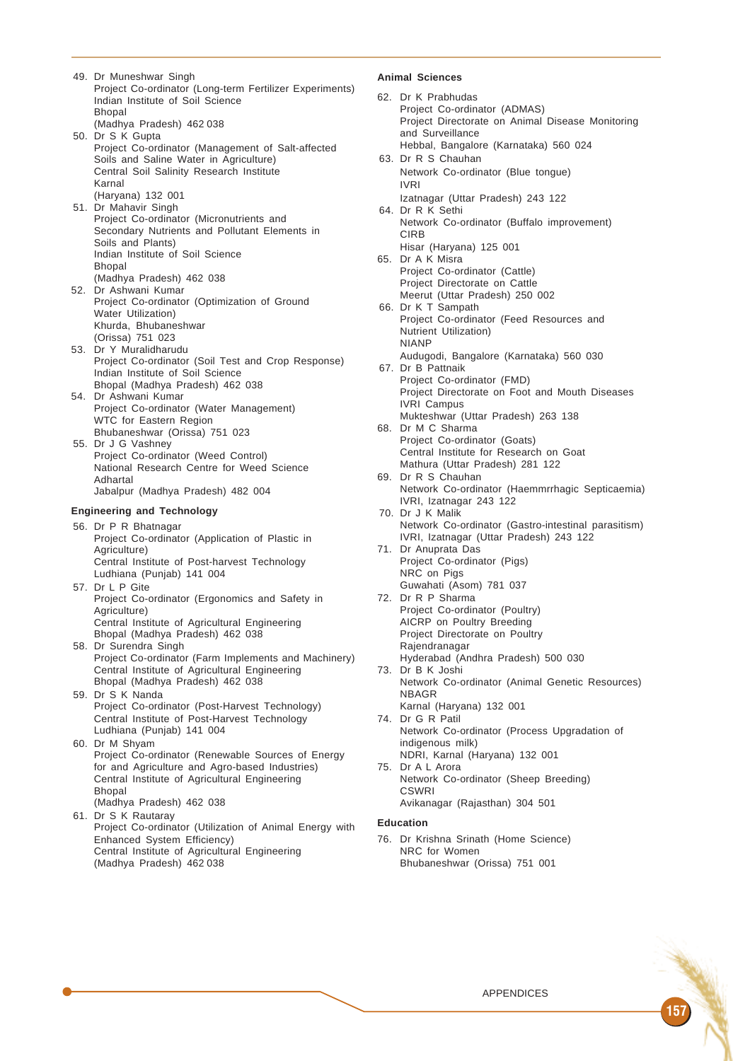49. Dr Muneshwar Singh Project Co-ordinator (Long-term Fertilizer Experiments) Indian Institute of Soil Science Bhopal (Madhya Pradesh) 462 038 50. Dr S K Gupta Project Co-ordinator (Management of Salt-affected Soils and Saline Water in Agriculture) Central Soil Salinity Research Institute Karnal (Haryana) 132 001 51. Dr Mahavir Singh Project Co-ordinator (Micronutrients and Secondary Nutrients and Pollutant Elements in Soils and Plants) Indian Institute of Soil Science Bhopal (Madhya Pradesh) 462 038 52. Dr Ashwani Kumar Project Co-ordinator (Optimization of Ground Water Utilization) Khurda, Bhubaneshwar (Orissa) 751 023 53. Dr Y Muralidharudu Project Co-ordinator (Soil Test and Crop Response) Indian Institute of Soil Science Bhopal (Madhya Pradesh) 462 038 54. Dr Ashwani Kumar Project Co-ordinator (Water Management) WTC for Eastern Region Bhubaneshwar (Orissa) 751 023 55. Dr J G Vashney Project Co-ordinator (Weed Control) National Research Centre for Weed Science Adhartal Jabalpur (Madhya Pradesh) 482 004 **Engineering and Technology** 56. Dr P R Bhatnagar Project Co-ordinator (Application of Plastic in Agriculture) Central Institute of Post-harvest Technology Ludhiana (Punjab) 141 004 57. Dr L P Gite Project Co-ordinator (Ergonomics and Safety in Agriculture) Central Institute of Agricultural Engineering Bhopal (Madhya Pradesh) 462 038 58. Dr Surendra Singh Project Co-ordinator (Farm Implements and Machinery) Central Institute of Agricultural Engineering Bhopal (Madhya Pradesh) 462 038 59. Dr S K Nanda Project Co-ordinator (Post-Harvest Technology) Central Institute of Post-Harvest Technology Ludhiana (Punjab) 141 004 60. Dr M Shyam Project Co-ordinator (Renewable Sources of Energy for and Agriculture and Agro-based Industries) Central Institute of Agricultural Engineering Bhopal (Madhya Pradesh) 462 038 61. Dr S K Rautaray Project Co-ordinator (Utilization of Animal Energy with Enhanced System Efficiency)

Central Institute of Agricultural Engineering

(Madhya Pradesh) 462 038

## **Animal Sciences**

- 62. Dr K Prabhudas Project Co-ordinator (ADMAS) Project Directorate on Animal Disease Monitoring and Surveillance Hebbal, Bangalore (Karnataka) 560 024 63. Dr R S Chauhan Network Co-ordinator (Blue tongue) IVRI Izatnagar (Uttar Pradesh) 243 122 64. Dr R K Sethi Network Co-ordinator (Buffalo improvement) **CIRB** Hisar (Haryana) 125 001 65. Dr A K Misra Project Co-ordinator (Cattle) Project Directorate on Cattle Meerut (Uttar Pradesh) 250 002 66. Dr K T Sampath Project Co-ordinator (Feed Resources and Nutrient Utilization) NIANP Audugodi, Bangalore (Karnataka) 560 030 67. Dr B Pattnaik Project Co-ordinator (FMD) Project Directorate on Foot and Mouth Diseases IVRI Campus Mukteshwar (Uttar Pradesh) 263 138 68. Dr M C Sharma Project Co-ordinator (Goats) Central Institute for Research on Goat Mathura (Uttar Pradesh) 281 122 69. Dr R S Chauhan Network Co-ordinator (Haemmrrhagic Septicaemia) IVRI, Izatnagar 243 122 70. Dr J K Malik Network Co-ordinator (Gastro-intestinal parasitism) IVRI, Izatnagar (Uttar Pradesh) 243 122 71. Dr Anuprata Das Project Co-ordinator (Pigs) NRC on Pigs Guwahati (Asom) 781 037 72. Dr R P Sharma Project Co-ordinator (Poultry) AICRP on Poultry Breeding Project Directorate on Poultry Rajendranagar Hyderabad (Andhra Pradesh) 500 030 73. Dr B K Joshi Network Co-ordinator (Animal Genetic Resources) NBAGR Karnal (Haryana) 132 001 74. Dr G R Patil Network Co-ordinator (Process Upgradation of indigenous milk) NDRI, Karnal (Haryana) 132 001 75. Dr A L Arora Network Co-ordinator (Sheep Breeding) **CSWRI** Avikanagar (Rajasthan) 304 501 **Education** 76. Dr Krishna Srinath (Home Science)
	- NRC for Women Bhubaneshwar (Orissa) 751 001

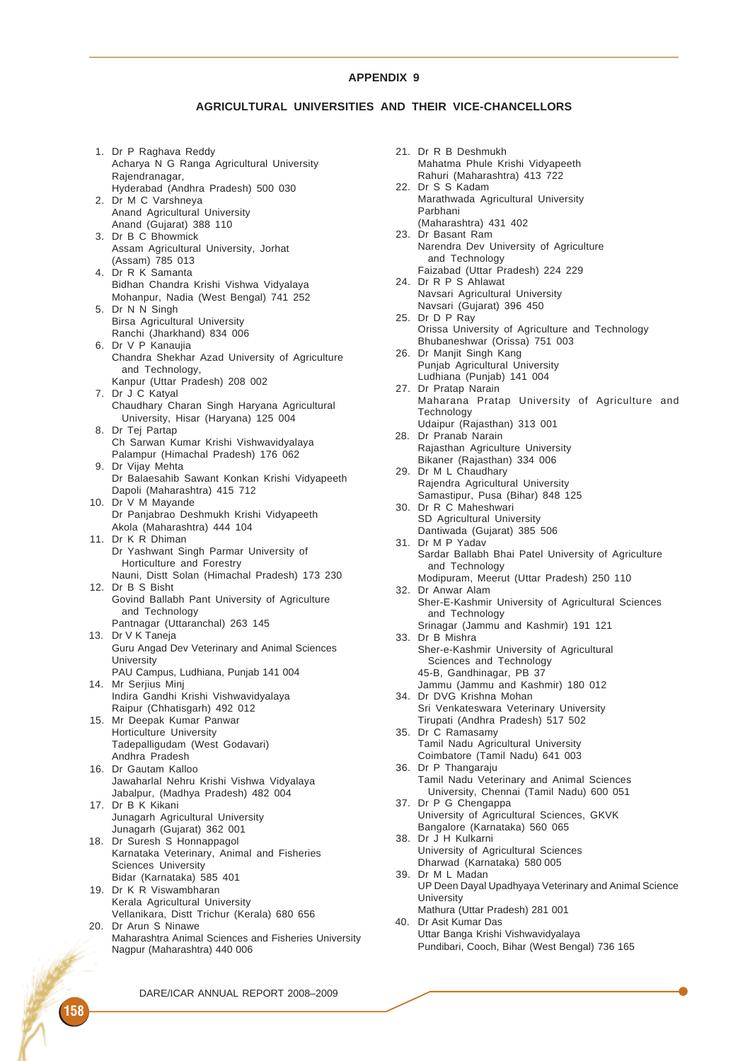## **AGRICULTURAL UNIVERSITIES AND THEIR VICE-CHANCELLORS**

1. Dr P Raghava Reddy Acharya N G Ranga Agricultural University Rajendranagar, Hyderabad (Andhra Pradesh) 500 030 2. Dr M C Varshneya Anand Agricultural University Anand (Gujarat) 388 110 3. Dr B C Bhowmick Assam Agricultural University, Jorhat (Assam) 785 013 4. Dr R K Samanta Bidhan Chandra Krishi Vishwa Vidyalaya Mohanpur, Nadia (West Bengal) 741 252 5. Dr N N Singh Birsa Agricultural University Ranchi (Jharkhand) 834 006 6. Dr V P Kanaujia Chandra Shekhar Azad University of Agriculture and Technology, Kanpur (Uttar Pradesh) 208 002 7. Dr J C Katyal Chaudhary Charan Singh Haryana Agricultural University, Hisar (Haryana) 125 004 8. Dr Tej Partap Ch Sarwan Kumar Krishi Vishwavidyalaya Palampur (Himachal Pradesh) 176 062 9. Dr Vijay Mehta Dr Balaesahib Sawant Konkan Krishi Vidyapeeth Dapoli (Maharashtra) 415 712 10. Dr V M Mayande Dr Panjabrao Deshmukh Krishi Vidyapeeth Akola (Maharashtra) 444 104 11. Dr K R Dhiman Dr Yashwant Singh Parmar University of Horticulture and Forestry Nauni, Distt Solan (Himachal Pradesh) 173 230 12. Dr B S Bisht Govind Ballabh Pant University of Agriculture and Technology Pantnagar (Uttaranchal) 263 145 13. Dr V K Taneja Guru Angad Dev Veterinary and Animal Sciences **University** PAU Campus, Ludhiana, Punjab 141 004 14. Mr Serjius Minj Indira Gandhi Krishi Vishwavidyalaya Raipur (Chhatisgarh) 492 012 15. Mr Deepak Kumar Panwar Horticulture University Tadepalligudam (West Godavari) Andhra Pradesh 16. Dr Gautam Kalloo Jawaharlal Nehru Krishi Vishwa Vidyalaya Jabalpur, (Madhya Pradesh) 482 004 17. Dr B K Kikani Junagarh Agricultural University Junagarh (Gujarat) 362 001 18. Dr Suresh S Honnappagol Karnataka Veterinary, Animal and Fisheries Sciences University Bidar (Karnataka) 585 401 19. Dr K R Viswambharan Kerala Agricultural University Vellanikara, Distt Trichur (Kerala) 680 656 20. Dr Arun S Ninawe Maharashtra Animal Sciences and Fisheries University Nagpur (Maharashtra) 440 006

21. Dr R B Deshmukh Mahatma Phule Krishi Vidyapeeth Rahuri (Maharashtra) 413 722 22. Dr S S Kadam Marathwada Agricultural University Parbhani (Maharashtra) 431 402 23. Dr Basant Ram Narendra Dev University of Agriculture and Technology Faizabad (Uttar Pradesh) 224 229 24. Dr R P S Ahlawat Navsari Agricultural University Navsari (Gujarat) 396 450 25. Dr D P Ray Orissa University of Agriculture and Technology Bhubaneshwar (Orissa) 751 003 26. Dr Manjit Singh Kang Punjab Agricultural University Ludhiana (Punjab) 141 004 27. Dr Pratap Narain Maharana Pratap University of Agriculture and **Technology** Udaipur (Rajasthan) 313 001 28. Dr Pranab Narain Rajasthan Agriculture University Bikaner (Rajasthan) 334 006 29. Dr M L Chaudhary Rajendra Agricultural University Samastipur, Pusa (Bihar) 848 125 30. Dr R C Maheshwari SD Agricultural University Dantiwada (Gujarat) 385 506 31. Dr M P Yadav Sardar Ballabh Bhai Patel University of Agriculture and Technology Modipuram, Meerut (Uttar Pradesh) 250 110 32. Dr Anwar Alam Sher-E-Kashmir University of Agricultural Sciences and Technology Srinagar (Jammu and Kashmir) 191 121 33. Dr B Mishra Sher-e-Kashmir University of Agricultural Sciences and Technology 45-B, Gandhinagar, PB 37 Jammu (Jammu and Kashmir) 180 012 34. Dr DVG Krishna Mohan Sri Venkateswara Veterinary University Tirupati (Andhra Pradesh) 517 502 35. Dr C Ramasamy Tamil Nadu Agricultural University Coimbatore (Tamil Nadu) 641 003 36. Dr P Thangaraju Tamil Nadu Veterinary and Animal Sciences University, Chennai (Tamil Nadu) 600 051 37. Dr P G Chengappa University of Agricultural Sciences, GKVK Bangalore (Karnataka) 560 065 38. Dr J H Kulkarni University of Agricultural Sciences Dharwad (Karnataka) 580 005 39. Dr M L Madan UP Deen Dayal Upadhyaya Veterinary and Animal Science **University** Mathura (Uttar Pradesh) 281 001 40. Dr Asit Kumar Das Uttar Banga Krishi Vishwavidyalaya Pundibari, Cooch, Bihar (West Bengal) 736 165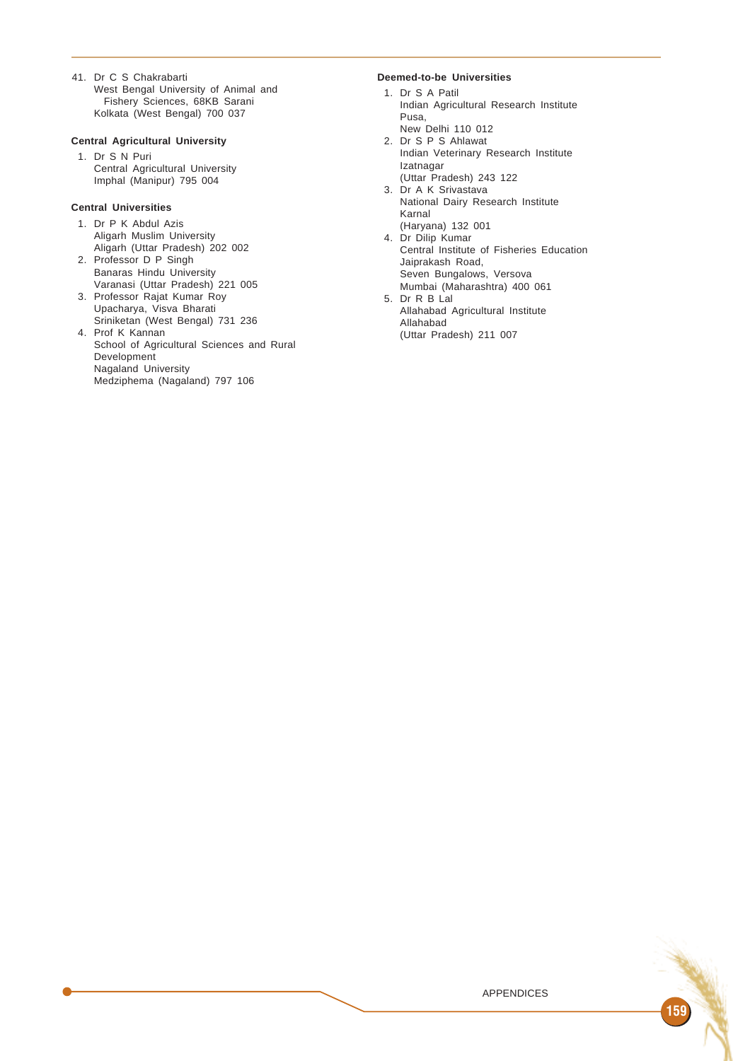41. Dr C S Chakrabarti West Bengal University of Animal and Fishery Sciences, 68KB Sarani Kolkata (West Bengal) 700 037

#### **Central Agricultural University**

1. Dr S N Puri Central Agricultural University Imphal (Manipur) 795 004

## **Central Universities**

- 1. Dr P K Abdul Azis Aligarh Muslim University Aligarh (Uttar Pradesh) 202 002 2. Professor D P Singh
- Banaras Hindu University Varanasi (Uttar Pradesh) 221 005
- 3. Professor Rajat Kumar Roy Upacharya, Visva Bharati Sriniketan (West Bengal) 731 236
- 4. Prof K Kannan School of Agricultural Sciences and Rural Development Nagaland University Medziphema (Nagaland) 797 106

# **Deemed-to-be Universities**

- 1. Dr S A Patil Indian Agricultural Research Institute Pusa,
- New Delhi 110 012 2. Dr S P S Ahlawat
- Indian Veterinary Research Institute Izatnagar
- (Uttar Pradesh) 243 122 3. Dr A K Srivastava
- National Dairy Research Institute Karnal
- (Haryana) 132 001 4. Dr Dilip Kumar
- Central Institute of Fisheries Education Jaiprakash Road, Seven Bungalows, Versova Mumbai (Maharashtra) 400 061
- 5. Dr R B Lal Allahabad Agricultural Institute Allahabad (Uttar Pradesh) 211 007

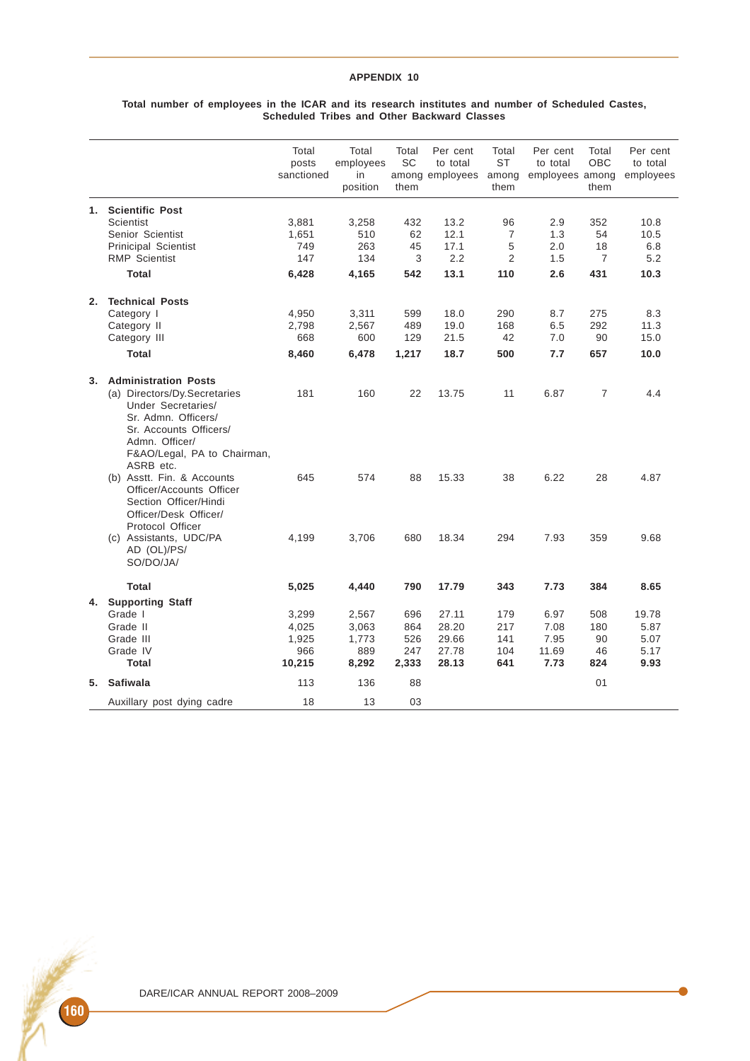#### **Total number of employees in the ICAR and its research institutes and number of Scheduled Castes, Scheduled Tribes and Other Backward Classes**

|    |                                                                                                                                                                   | Total<br>posts<br>sanctioned | Total<br>employees<br>in<br>position | Total<br>SC<br>them | Per cent<br>to total<br>among employees | Total<br><b>ST</b><br>among<br>them | Per cent<br>to total<br>employees among | Total<br><b>OBC</b><br>them | Per cent<br>to total<br>employees |
|----|-------------------------------------------------------------------------------------------------------------------------------------------------------------------|------------------------------|--------------------------------------|---------------------|-----------------------------------------|-------------------------------------|-----------------------------------------|-----------------------------|-----------------------------------|
| 1. | <b>Scientific Post</b>                                                                                                                                            |                              |                                      |                     |                                         |                                     |                                         |                             |                                   |
|    | Scientist                                                                                                                                                         | 3,881                        | 3,258                                | 432                 | 13.2                                    | 96                                  | 2.9                                     | 352                         | 10.8                              |
|    | Senior Scientist                                                                                                                                                  | 1,651                        | 510                                  | 62                  | 12.1                                    | $\overline{7}$                      | 1.3                                     | 54                          | 10.5                              |
|    | Prinicipal Scientist                                                                                                                                              | 749                          | 263                                  | 45                  | 17.1                                    | 5                                   | 2.0                                     | 18                          | 6.8                               |
|    | <b>RMP Scientist</b>                                                                                                                                              | 147                          | 134                                  | 3                   | 2.2                                     | $\overline{2}$                      | 1.5                                     | $\overline{7}$              | 5.2                               |
|    | <b>Total</b>                                                                                                                                                      | 6,428                        | 4,165                                | 542                 | 13.1                                    | 110                                 | 2.6                                     | 431                         | 10.3                              |
| 2. | <b>Technical Posts</b>                                                                                                                                            |                              |                                      |                     |                                         |                                     |                                         |                             |                                   |
|    | Category I                                                                                                                                                        | 4,950                        | 3,311                                | 599                 | 18.0                                    | 290                                 | 8.7                                     | 275                         | 8.3                               |
|    | Category II                                                                                                                                                       | 2,798                        | 2,567                                | 489                 | 19.0                                    | 168                                 | 6.5                                     | 292                         | 11.3                              |
|    | Category III                                                                                                                                                      | 668                          | 600                                  | 129                 | 21.5                                    | 42                                  | 7.0                                     | 90                          | 15.0                              |
|    | <b>Total</b>                                                                                                                                                      | 8,460                        | 6,478                                | 1,217               | 18.7                                    | 500                                 | 7.7                                     | 657                         | 10.0                              |
| 3. | <b>Administration Posts</b>                                                                                                                                       |                              |                                      |                     |                                         |                                     |                                         |                             |                                   |
|    | (a) Directors/Dy.Secretaries<br>Under Secretaries/<br>Sr. Admn. Officers/<br>Sr. Accounts Officers/<br>Admn. Officer/<br>F&AO/Legal, PA to Chairman,<br>ASRB etc. | 181                          | 160                                  | 22                  | 13.75                                   | 11                                  | 6.87                                    | $\overline{7}$              | 4.4                               |
|    | (b) Asstt. Fin. & Accounts<br>Officer/Accounts Officer<br>Section Officer/Hindi<br>Officer/Desk Officer/<br>Protocol Officer                                      | 645                          | 574                                  | 88                  | 15.33                                   | 38                                  | 6.22                                    | 28                          | 4.87                              |
|    | (c) Assistants, UDC/PA<br>AD (OL)/PS/<br>SO/DO/JA/                                                                                                                | 4,199                        | 3,706                                | 680                 | 18.34                                   | 294                                 | 7.93                                    | 359                         | 9.68                              |
|    | Total                                                                                                                                                             | 5,025                        | 4,440                                | 790                 | 17.79                                   | 343                                 | 7.73                                    | 384                         | 8.65                              |
| 4. | <b>Supporting Staff</b>                                                                                                                                           |                              |                                      |                     |                                         |                                     |                                         |                             |                                   |
|    | Grade I                                                                                                                                                           | 3,299                        | 2,567                                | 696                 | 27.11                                   | 179                                 | 6.97                                    | 508                         | 19.78                             |
|    | Grade II                                                                                                                                                          | 4,025                        | 3,063                                | 864                 | 28.20                                   | 217                                 | 7.08                                    | 180                         | 5.87                              |
|    | Grade III                                                                                                                                                         | 1,925                        | 1,773                                | 526                 | 29.66                                   | 141                                 | 7.95                                    | 90                          | 5.07                              |
|    | Grade IV                                                                                                                                                          | 966                          | 889                                  | 247                 | 27.78                                   | 104                                 | 11.69                                   | 46                          | 5.17                              |
|    | <b>Total</b>                                                                                                                                                      | 10,215                       | 8,292                                | 2,333               | 28.13                                   | 641                                 | 7.73                                    | 824                         | 9.93                              |
|    | 5. Safiwala                                                                                                                                                       | 113                          | 136                                  | 88                  |                                         |                                     |                                         | 01                          |                                   |
|    | Auxillary post dying cadre                                                                                                                                        | 18                           | 13                                   | 03                  |                                         |                                     |                                         |                             |                                   |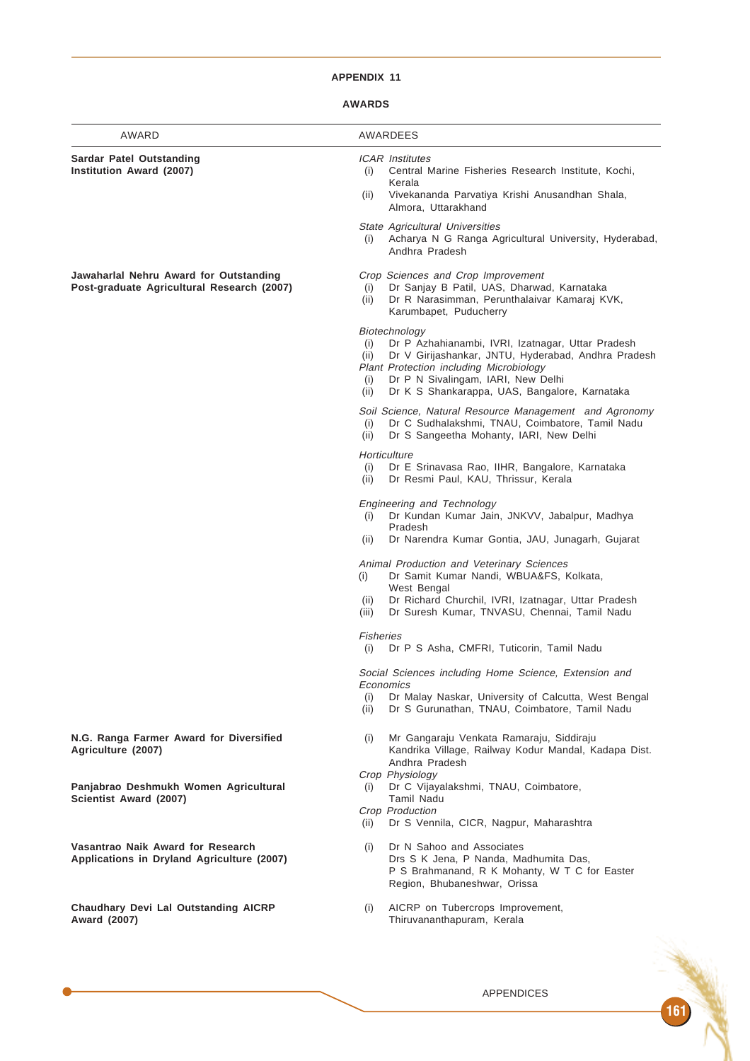# **AWARDS**

| AWARD                                                                                | AWARDEES                                                                                                                                                                                                                                                                                         |  |  |  |  |
|--------------------------------------------------------------------------------------|--------------------------------------------------------------------------------------------------------------------------------------------------------------------------------------------------------------------------------------------------------------------------------------------------|--|--|--|--|
| Sardar Patel Outstanding<br>Institution Award (2007)                                 | <b>ICAR</b> Institutes<br>Central Marine Fisheries Research Institute, Kochi,<br>(i)<br>Kerala                                                                                                                                                                                                   |  |  |  |  |
|                                                                                      | (ii)<br>Vivekananda Parvatiya Krishi Anusandhan Shala,<br>Almora, Uttarakhand                                                                                                                                                                                                                    |  |  |  |  |
|                                                                                      | State Agricultural Universities<br>Acharya N G Ranga Agricultural University, Hyderabad,<br>(i)<br>Andhra Pradesh                                                                                                                                                                                |  |  |  |  |
| Jawaharlal Nehru Award for Outstanding<br>Post-graduate Agricultural Research (2007) | Crop Sciences and Crop Improvement<br>Dr Sanjay B Patil, UAS, Dharwad, Karnataka<br>(i)<br>Dr R Narasimman, Perunthalaivar Kamaraj KVK,<br>(ii)<br>Karumbapet, Puducherry                                                                                                                        |  |  |  |  |
|                                                                                      | Biotechnology<br>Dr P Azhahianambi, IVRI, Izatnagar, Uttar Pradesh<br>(i)<br>Dr V Girijashankar, JNTU, Hyderabad, Andhra Pradesh<br>(ii)<br><b>Plant Protection including Microbiology</b><br>Dr P N Sivalingam, IARI, New Delhi<br>(i)<br>Dr K S Shankarappa, UAS, Bangalore, Karnataka<br>(ii) |  |  |  |  |
|                                                                                      | Soil Science, Natural Resource Management and Agronomy<br>Dr C Sudhalakshmi, TNAU, Coimbatore, Tamil Nadu<br>(i)<br>Dr S Sangeetha Mohanty, IARI, New Delhi<br>(ii)                                                                                                                              |  |  |  |  |
|                                                                                      | Horticulture<br>(i)<br>Dr E Srinavasa Rao, IIHR, Bangalore, Karnataka<br>(ii)<br>Dr Resmi Paul, KAU, Thrissur, Kerala                                                                                                                                                                            |  |  |  |  |
|                                                                                      | Engineering and Technology<br>Dr Kundan Kumar Jain, JNKVV, Jabalpur, Madhya<br>(i)<br>Pradesh                                                                                                                                                                                                    |  |  |  |  |
|                                                                                      | Dr Narendra Kumar Gontia, JAU, Junagarh, Gujarat<br>(ii)                                                                                                                                                                                                                                         |  |  |  |  |
|                                                                                      | Animal Production and Veterinary Sciences<br>Dr Samit Kumar Nandi, WBUA&FS, Kolkata,<br>(i)<br>West Bengal                                                                                                                                                                                       |  |  |  |  |
|                                                                                      | Dr Richard Churchil, IVRI, Izatnagar, Uttar Pradesh<br>(ii)<br>Dr Suresh Kumar, TNVASU, Chennai, Tamil Nadu<br>(iii)                                                                                                                                                                             |  |  |  |  |
|                                                                                      | <b>Fisheries</b><br>Dr P S Asha, CMFRI, Tuticorin, Tamil Nadu<br>(i)                                                                                                                                                                                                                             |  |  |  |  |
|                                                                                      | Social Sciences including Home Science, Extension and<br>Economics                                                                                                                                                                                                                               |  |  |  |  |
|                                                                                      | Dr Malay Naskar, University of Calcutta, West Bengal<br>(i)<br>Dr S Gurunathan, TNAU, Coimbatore, Tamil Nadu<br>(ii)                                                                                                                                                                             |  |  |  |  |
| N.G. Ranga Farmer Award for Diversified<br>Agriculture (2007)                        | Mr Gangaraju Venkata Ramaraju, Siddiraju<br>(i)<br>Kandrika Village, Railway Kodur Mandal, Kadapa Dist.<br>Andhra Pradesh                                                                                                                                                                        |  |  |  |  |
| Panjabrao Deshmukh Women Agricultural<br>Scientist Award (2007)                      | Crop Physiology<br>Dr C Vijayalakshmi, TNAU, Coimbatore,<br>(i)<br><b>Tamil Nadu</b>                                                                                                                                                                                                             |  |  |  |  |
|                                                                                      | Crop Production<br>Dr S Vennila, CICR, Nagpur, Maharashtra<br>(ii)                                                                                                                                                                                                                               |  |  |  |  |
| Vasantrao Naik Award for Research<br>Applications in Dryland Agriculture (2007)      | Dr N Sahoo and Associates<br>(i)<br>Drs S K Jena, P Nanda, Madhumita Das,<br>P S Brahmanand, R K Mohanty, W T C for Easter<br>Region, Bhubaneshwar, Orissa                                                                                                                                       |  |  |  |  |
| Chaudhary Devi Lal Outstanding AICRP<br>Award (2007)                                 | AICRP on Tubercrops Improvement,<br>(i)<br>Thiruvananthapuram, Kerala                                                                                                                                                                                                                            |  |  |  |  |
|                                                                                      |                                                                                                                                                                                                                                                                                                  |  |  |  |  |
|                                                                                      |                                                                                                                                                                                                                                                                                                  |  |  |  |  |

 $\bullet$ 

APPENDICES

161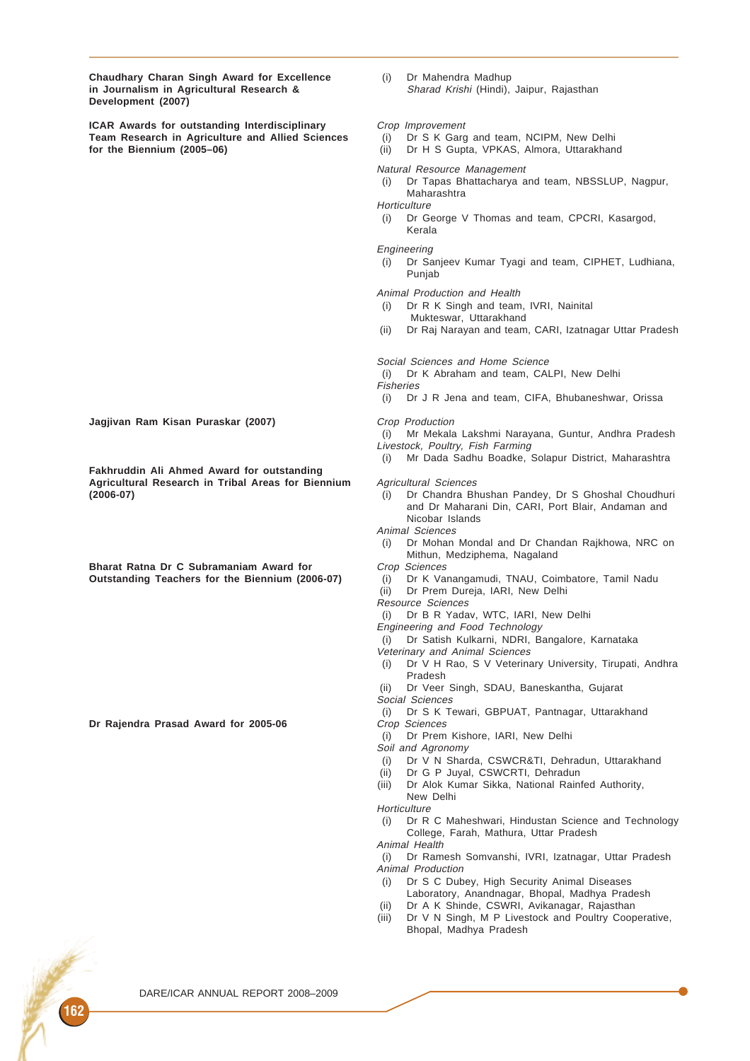**Chaudhary Charan Singh Award for Excellence** (i) Dr Mahendra Madhup<br> **in Journalism in Agricultural Research &** Sharad Krishi (Hindi), Jaipur, Raiasthan in Journalism in Agricultural Research & **Development (2007)**

**ICAR Awards for outstanding Interdisciplinary** Crop Improvement **Team Research in Agriculture and Allied Sciences** (i) Dr S K Garg and team, NCIPM, New Delhi<br>
for the Biennium (2005–06) (ii) Dr H S Gupta, VPKAS, Almora, Uttarakhan

- 
- **for the Biennium (2005–06)** (ii) Dr H S Gupta, VPKAS, Almora, Uttarakhand

#### Natural Resource Management

- (i) Dr Tapas Bhattacharya and team, NBSSLUP, Nagpur, Maharashtra
- **Horticulture**
- (i) Dr George V Thomas and team, CPCRI, Kasargod, Kerala

#### Engineering

(i) Dr Sanjeev Kumar Tyagi and team, CIPHET, Ludhiana, Punjab

Animal Production and Health

- (i) Dr R K Singh and team, IVRI, Nainital
- Mukteswar, Uttarakhand
- (ii) Dr Raj Narayan and team, CARI, Izatnagar Uttar Pradesh

Social Sciences and Home Science

(i) Dr K Abraham and team, CALPI, New Delhi

- Fisheries
	- (i) Dr J R Jena and team, CIFA, Bhubaneshwar, Orissa

- (i) Mr Mekala Lakshmi Narayana, Guntur, Andhra Pradesh Livestock, Poultry, Fish Farming
- (i) Mr Dada Sadhu Boadke, Solapur District, Maharashtra

**(2006-07)** (i) Dr Chandra Bhushan Pandey, Dr S Ghoshal Choudhuri and Dr Maharani Din, CARI, Port Blair, Andaman and Nicobar Islands

Animal Sciences

- (i) Dr Mohan Mondal and Dr Chandan Rajkhowa, NRC on Mithun, Medziphema, Nagaland
- 
- **Outstanding Teachers for the Biennium (2006-07)** (i) Dr K Vanangamudi, TNAU, Coimbatore, Tamil Nadu<br>(ii) Dr Prem Dureja, IARI, New Delhi
	- Dr Prem Dureja, IARI, New Delhi
	- Resource Sciences
	- (i) Dr B R Yadav, WTC, IARI, New Delhi
	- Engineering and Food Technology
	- (i) Dr Satish Kulkarni, NDRI, Bangalore, Karnataka Veterinary and Animal Sciences
	- (i) Dr V H Rao, S V Veterinary University, Tirupati, Andhra Pradesh
	- (ii) Dr Veer Singh, SDAU, Baneskantha, Gujarat
	- Social Sciences
	- (i) Dr S K Tewari, GBPUAT, Pantnagar, Uttarakhand
	-
	- (i) Dr Prem Kishore, IARI, New Delhi
	- Soil and Agronomy
	- (i) Dr V N Sharda, CSWCR&TI, Dehradun, Uttarakhand
	- (ii) Dr G P Juyal, CSWCRTI, Dehradun
	- (iii) Dr Alok Kumar Sikka, National Rainfed Authority, New Delhi

**Horticulture** 

(i) Dr R C Maheshwari, Hindustan Science and Technology College, Farah, Mathura, Uttar Pradesh

Animal Health

(i) Dr Ramesh Somvanshi, IVRI, Izatnagar, Uttar Pradesh Animal Production

- (i) Dr S C Dubey, High Security Animal Diseases
- Laboratory, Anandnagar, Bhopal, Madhya Pradesh (ii) Dr A K Shinde, CSWRI, Avikanagar, Rajasthan
- (iii) Dr V N Singh, M P Livestock and Poultry Cooperative, Bhopal, Madhya Pradesh

**Jagjivan Ram Kisan Puraskar (2007)** Crop Production

**Fakhruddin Ali Ahmed Award for outstanding Agricultural Research in Tribal Areas for Biennium** Agricultural Sciences

**Bharat Ratna Dr C Subramaniam Award for** Crop Sciences

Dr Rajendra Prasad Award for 2005-06 Crop Sciences